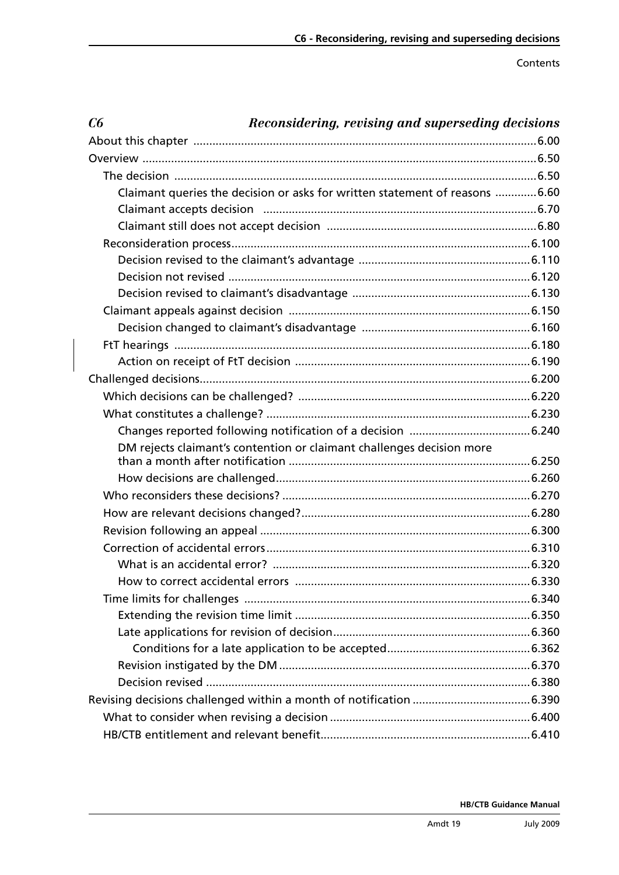Contents

| C6 | Reconsidering, revising and superseding decisions                            |
|----|------------------------------------------------------------------------------|
|    |                                                                              |
|    |                                                                              |
|    |                                                                              |
|    | Claimant queries the decision or asks for written statement of reasons  6.60 |
|    |                                                                              |
|    |                                                                              |
|    |                                                                              |
|    |                                                                              |
|    |                                                                              |
|    |                                                                              |
|    |                                                                              |
|    |                                                                              |
|    |                                                                              |
|    |                                                                              |
|    |                                                                              |
|    |                                                                              |
|    |                                                                              |
|    |                                                                              |
|    | DM rejects claimant's contention or claimant challenges decision more        |
|    |                                                                              |
|    |                                                                              |
|    |                                                                              |
|    |                                                                              |
|    |                                                                              |
|    |                                                                              |
|    |                                                                              |
|    |                                                                              |
|    |                                                                              |
|    |                                                                              |
|    |                                                                              |
|    |                                                                              |
|    |                                                                              |
|    |                                                                              |
|    |                                                                              |
|    |                                                                              |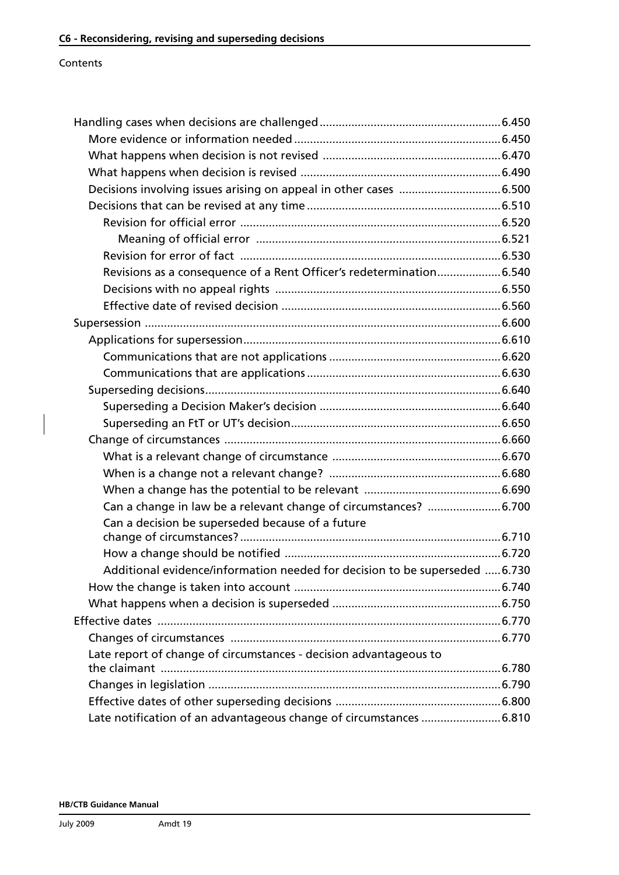### Contents

| Decisions involving issues arising on appeal in other cases  6.500          |  |
|-----------------------------------------------------------------------------|--|
|                                                                             |  |
|                                                                             |  |
|                                                                             |  |
|                                                                             |  |
| Revisions as a consequence of a Rent Officer's redetermination6.540         |  |
|                                                                             |  |
|                                                                             |  |
|                                                                             |  |
|                                                                             |  |
|                                                                             |  |
|                                                                             |  |
|                                                                             |  |
|                                                                             |  |
|                                                                             |  |
|                                                                             |  |
|                                                                             |  |
|                                                                             |  |
|                                                                             |  |
|                                                                             |  |
| Can a decision be superseded because of a future                            |  |
|                                                                             |  |
|                                                                             |  |
| Additional evidence/information needed for decision to be superseded  6.730 |  |
|                                                                             |  |
|                                                                             |  |
|                                                                             |  |
|                                                                             |  |
| Late report of change of circumstances - decision advantageous to           |  |
|                                                                             |  |
|                                                                             |  |
|                                                                             |  |
| Late notification of an advantageous change of circumstances 6.810          |  |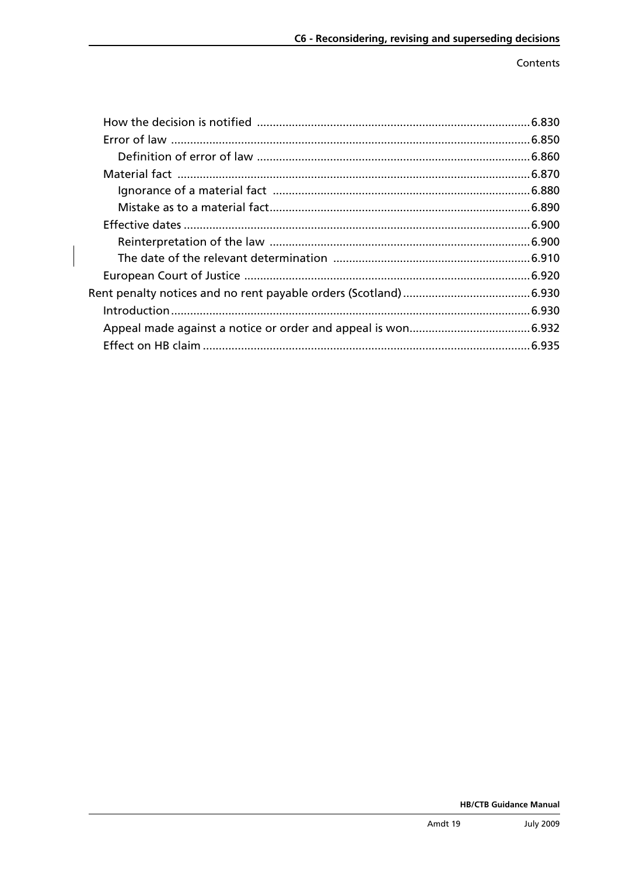Contents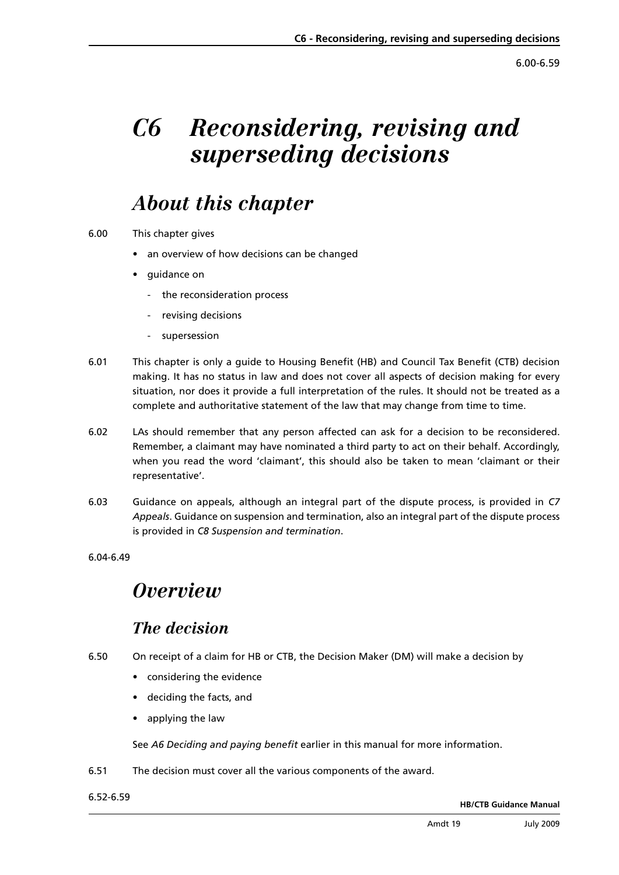6.00-6.59

# *C6 Reconsidering, revising and superseding decisions*

# *About this chapter*

- 6.00 This chapter gives
	- an overview of how decisions can be changed
	- **quidance on** 
		- the reconsideration process
		- revising decisions
		- supersession
- 6.01 This chapter is only a guide to Housing Benefit (HB) and Council Tax Benefit (CTB) decision making. It has no status in law and does not cover all aspects of decision making for every situation, nor does it provide a full interpretation of the rules. It should not be treated as a complete and authoritative statement of the law that may change from time to time.
- 6.02 LAs should remember that any person affected can ask for a decision to be reconsidered. Remember, a claimant may have nominated a third party to act on their behalf. Accordingly, when you read the word 'claimant', this should also be taken to mean 'claimant or their representative'.
- 6.03 [Guidance on appeals, although an integral part of the dispute process, is provided in](www.dwp.gov.uk/docs/hbgm-c7-appeals.pdf) *C7 Appeals*. Guidance on suspension and termination, also an integral part of the dispute process is provided in *[C8 Suspension and termination](www.dwp.gov.uk/docs/hbgm-c8-suspension-and-termination.pdf)*.

6.04-6.49

# *Overview*

## *The decision*

- 6.50 On receipt of a claim for HB or CTB, the Decision Maker (DM) will make a decision by
	- • considering the evidence
	- • deciding the facts, and
	- • applying the law

See *[A6 Deciding and paying benefit](www.dwp.gov.uk/docs/hbgm-a6-deciding-and-paying-benefit.pdf)* earlier in this manual for more information.

6.51 The decision must cover all the various components of the award.

6.52-6.59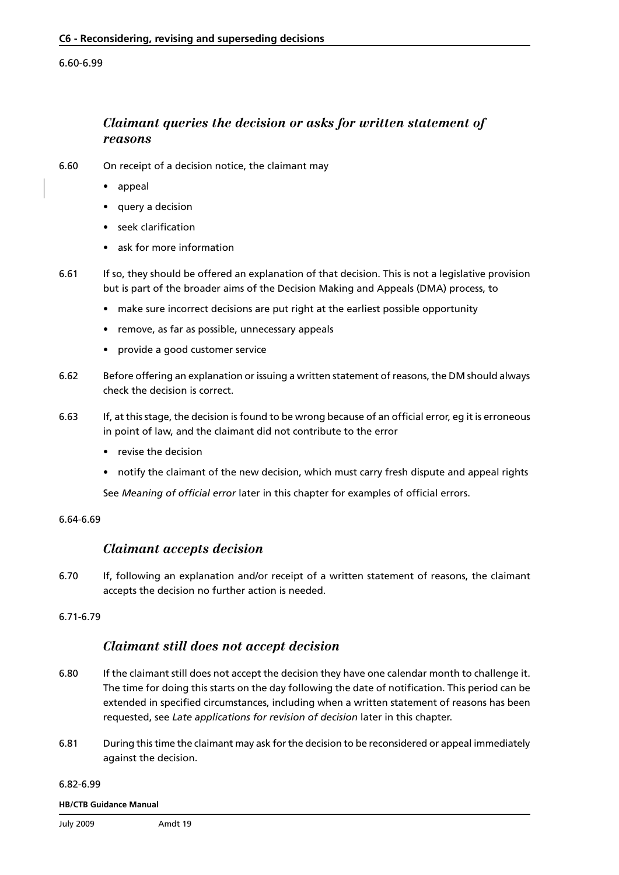#### 6.60-6.99

## *Claimant queries the decision or asks for written statement of reasons*

- 6.60 On receipt of a decision notice, the claimant may
	- appeal
	- query a decision
	- seek clarification
	- ask for more information
- 6.61 If so, they should be offered an explanation of that decision. This is not a legislative provision but is part of the broader aims of the Decision Making and Appeals (DMA) process, to
	- make sure incorrect decisions are put right at the earliest possible opportunity
	- remove, as far as possible, unnecessary appeals
	- provide a good customer service
- 6.62 Before offering an explanation or issuing a written statement of reasons, the DM should always check the decision is correct.
- 6.63 If, at this stage, the decision is found to be wrong because of an official error, eg it is erroneous in point of law, and the claimant did not contribute to the error
	- revise the decision
	- notify the claimant of the new decision, which must carry fresh dispute and appeal rights

See *[Meaning of official error](#page-22-0)* later in this chapter for examples of official errors.

#### 6.64-6.69

### *Claimant accepts decision*

6.70 If, following an explanation and/or receipt of a written statement of reasons, the claimant accepts the decision no further action is needed.

#### 6.71-6.79

### *Claimant still does not accept decision*

- 6.80 If the claimant still does not accept the decision they have one calendar month to challenge it. The time for doing this starts on the day following the date of notification. This period can be extended in specified circumstances, including when a written statement of reasons has been requested, see *[Late applications for revision of decision](#page-14-0)* later in this chapter.
- 6.81 During this time the claimant may ask for the decision to be reconsidered or appeal immediately against the decision.

#### 6.82-6.99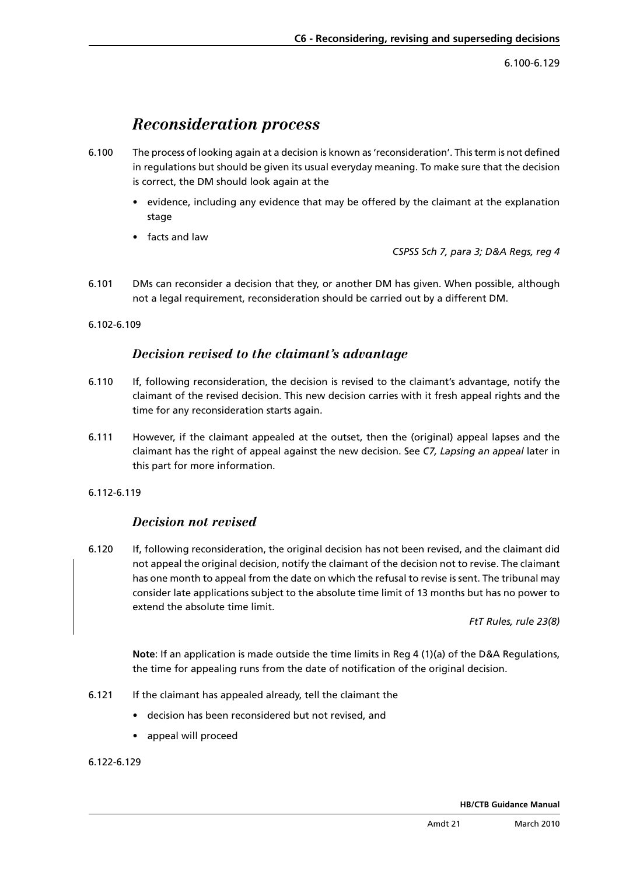6.100-6.129

## *Reconsideration process*

- <span id="page-5-0"></span>6.100 The process of looking again at a decision is known as 'reconsideration'. This term is not defined in regulations but should be given its usual everyday meaning. To make sure that the decision is correct, the DM should look again at the
	- evidence, including any evidence that may be offered by the claimant at the explanation stage
	- • facts and law

*CSPSS Sch 7, para 3; D&A Regs, reg 4*

- 6.101 DMs can reconsider a decision that they, or another DM has given. When possible, although not a legal requirement, reconsideration should be carried out by a different DM.
- 6.102-6.109

## *Decision revised to the claimant's advantage*

- 6.110 If, following reconsideration, the decision is revised to the claimant's advantage, notify the claimant of the revised decision. This new decision carries with it fresh appeal rights and the time for any reconsideration starts again.
- 6.111 However, if the claimant appealed at the outset, then the (original) appeal lapses and the claimant has the right of appeal against the new decision. See *[C7, Lapsing an appeal](www.dwp.gov.uk/docs/hbgm-c7-appeals.pdf)* later in this part for more information.
- 6.112-6.119

## *Decision not revised*

6.120 If, following reconsideration, the original decision has not been revised, and the claimant did not appeal the original decision, notify the claimant of the decision not to revise. The claimant has one month to appeal from the date on which the refusal to revise is sent. The tribunal may consider late applications subject to the absolute time limit of 13 months but has no power to extend the absolute time limit. 

*FtT Rules, rule 23(8)*

**Note**: If an application is made outside the time limits in Reg 4 (1)(a) of the D&A Regulations, the time for appealing runs from the date of notification of the original decision.

- 6.121 If the claimant has appealed already, tell the claimant the
	- • decision has been reconsidered but not revised, and
	- • appeal will proceed

6.122-6.129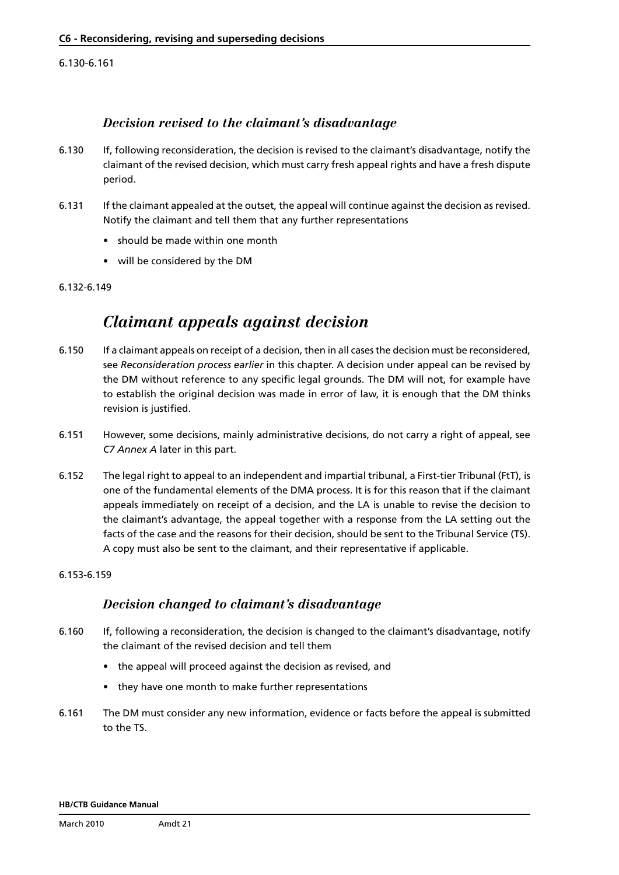6.130-6.161

### *Decision revised to the claimant's disadvantage*

- 6.130 If, following reconsideration, the decision is revised to the claimant's disadvantage, notify the claimant of the revised decision, which must carry fresh appeal rights and have a fresh dispute period.
- 6.131 If the claimant appealed at the outset, the appeal will continue against the decision as revised. Notify the claimant and tell them that any further representations
	- should be made within one month
	- • will be considered by the DM

#### 6.132-6.149

## *Claimant appeals against decision*

- 6.150 If a claimant appeals on receipt of a decision, then in all cases the decision must be reconsidered, see *[Reconsideration process earlier](#page-5-0)* in this chapter. A decision under appeal can be revised by the DM without reference to any specific legal grounds. The DM will not, for example have to establish the original decision was made in error of law, it is enough that the DM thinks revision is justified.
- 6.151 However, some decisions, mainly administrative decisions, do not carry a right of appeal, see *[C7 Annex A](www.dwp.gov.uk/docs/hbgm-c7-appeals.pdf)* later in this part.
- 6.152 The legal right to appeal to an independent and impartial tribunal, a First-tier Tribunal (FtT), is one of the fundamental elements of the DMA process. It is for this reason that if the claimant appeals immediately on receipt of a decision, and the LA is unable to revise the decision to the claimant's advantage, the appeal together with a response from the LA setting out the facts of the case and the reasons for their decision, should be sent to the Tribunal Service (TS). A copy must also be sent to the claimant, and their representative if applicable.

#### 6.153-6.159

### *Decision changed to claimant's disadvantage*

- 6.160 If, following a reconsideration, the decision is changed to the claimant's disadvantage, notify the claimant of the revised decision and tell them
	- the appeal will proceed against the decision as revised, and
	- they have one month to make further representations
- 6.161 The DM must consider any new information, evidence or facts before the appeal is submitted to the TS.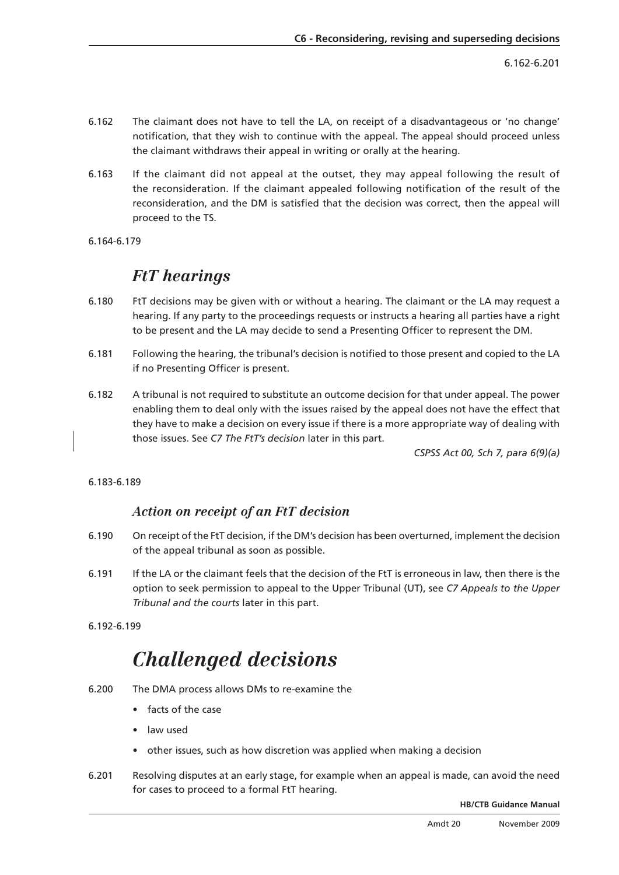6.162-6.201

- 6.162 The claimant does not have to tell the LA, on receipt of a disadvantageous or 'no change' notification, that they wish to continue with the appeal. The appeal should proceed unless the claimant withdraws their appeal in writing or orally at the hearing.
- 6.163 If the claimant did not appeal at the outset, they may appeal following the result of the reconsideration. If the claimant appealed following notification of the result of the reconsideration, and the DM is satisfied that the decision was correct, then the appeal will proceed to the TS.
- 6.164-6.179

## *FtT hearings*

- 6.180 FtT decisions may be given with or without a hearing. The claimant or the LA may request a hearing. If any party to the proceedings requests or instructs a hearing all parties have a right to be present and the LA may decide to send a Presenting Officer to represent the DM.
- 6.181 Following the hearing, the tribunal's decision is notified to those present and copied to the LA if no Presenting Officer is present.
- 6.182 A tribunal is not required to substitute an outcome decision for that under appeal. The power enabling them to deal only with the issues raised by the appeal does not have the effect that they have to make a decision on every issue if there is a more appropriate way of dealing with those issues. See *[C7 The FtT's decision](www.dwp.gov.uk/docs/hbgm-c7-appeals.pdf)* later in this part.

*CSPSS Act 00, Sch 7, para 6(9)(a)*

#### 6.183-6.189

### *Action on receipt of an FtT decision*

- 6.190 On receipt of the FtT decision, if the DM's decision has been overturned, implement the decis ion of the appeal tribunal as soon as possible.
- 6.191 If the LA or the claimant feels that the decision of the FtT is erroneous in law, then there is the [option to seek permission to appeal to the Upper Tribunal \(UT\), see](www.dwp.gov.uk/docs/hbgm-c7-appeals.pdf) *C7 Appeals to the Up per Tribunal and the courts* later in this part.
- 6.192-6.199

# *Challenged decisions*

- 6.200 The DMA process allows DMs to re-examine the
	- facts of the case
	- • law used
	- other issues, such as how discretion was applied when making a decision
- 6.201 Resolving disputes at an early stage, for example when an appeal is made, can avoid the n eed for cases to proceed to a formal FtT hearing.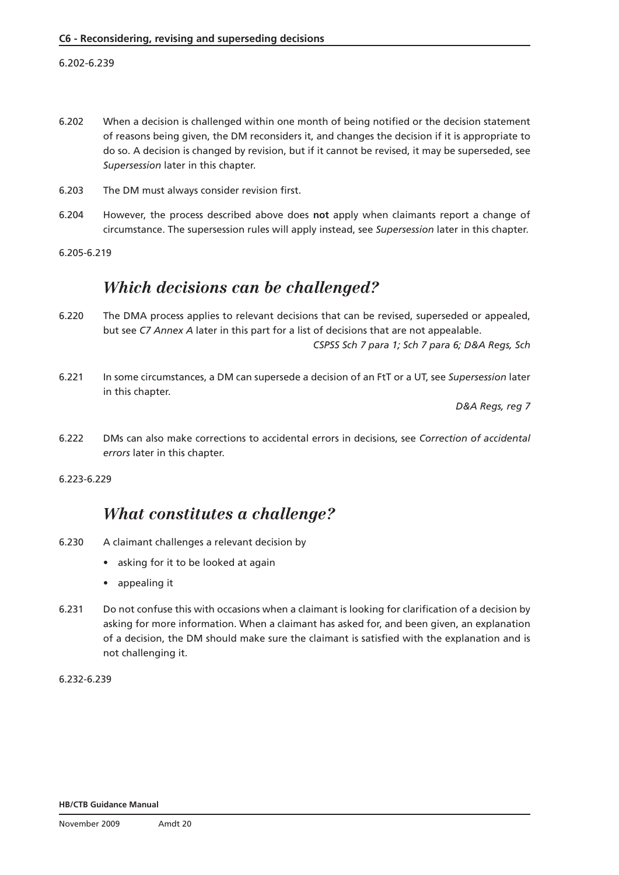### 6.202-6.239

- 6.202 When a decision is challenged within one month of being notified or the decision statement of reasons being given, the DM reconsiders it, and changes the decision if it is appropriate to do so. A decision is changed by revision, but if it cannot be revised, it may be superseded, see *[Supersession](#page-24-0)* later in this chapter.
- 6.203 The DM must always consider revision first.
- 6.204 However, the process described above does **not** apply when claimants report a change of circumstance. The supersession rules will apply instead, see *[Supersession](#page-24-0)* later in this chapter.

6.205-6.219

## *Which decisions can be challenged?*

- 6.220 The DMA process applies to relevant decisions that can be revised, superseded or appealed, but see *[C7 Annex A](www.dwp.gov.uk/docs/hbgm-c7-appeals.pdf)* later in this part for a list of decisions that are not appealable. *CSPSS Sch 7 para 1; Sch 7 para 6; D&A Regs, Sch*
- 6.221 In some circumstances, a DM can supersede a decision of an FtT or a UT, see *[Supersession](#page-24-0)* later in this chapter.

*D&A Regs, reg 7*

6.222 DMs can also make corrections to accidental errors in decisions, see *[Correction of accidental](#page-11-0)  [errors](#page-11-0)* later in this chapter.

6.223-6.229

## *What constitutes a challenge?*

- 6.230 A claimant challenges a relevant decision by
	- asking for it to be looked at again
	- appealing it
- 6.231 Do not confuse this with occasions when a claimant is looking for clarification of a decision by asking for more information. When a claimant has asked for, and been given, an explanation of a decision, the DM should make sure the claimant is satisfied with the explanation and is not challenging it.

6.232-6.239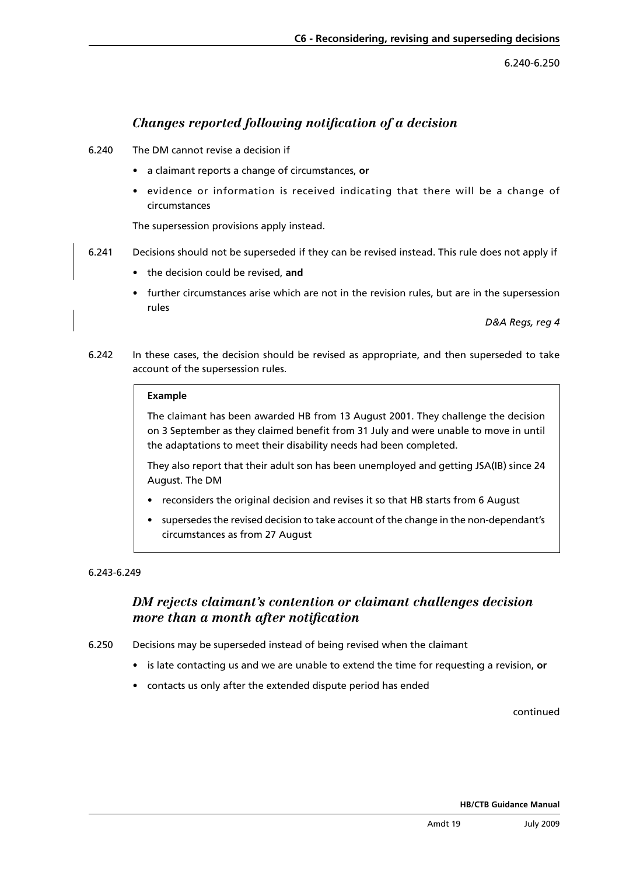6.240-6.250

## *Changes reported following notification of a decision*

- 6.240 The DM cannot revise a decision if
	- • a claimant reports a change of circumstances, **or**
	- • evidence or information is received indicating that there will be a change of circumstances

The supersession provisions apply instead.

- 6.241 Decisions should not be superseded if they can be revised instead. This rule does not apply if
	- • the decision could be revised, **and**
	- • further circumstances arise which are not in the revision rules, but are in the supersession rules

*D&A Regs, reg 4*

6.242 In these cases, the decision should be revised as appropriate, and then superseded to take account of the supersession rules.

#### **Example**

The claimant has been awarded HB from 13 August 2001. They challenge the decision on 3 September as they claimed benefit from 31 July and were unable to move in until the adaptations to meet their disability needs had been completed.

They also report that their adult son has been unemployed and getting JSA(IB) since 24 August. The DM

- reconsiders the original decision and revises it so that HB starts from 6 August
- supersedes the revised decision to take account of the change in the non-dependant's circumstances as from 27 August

#### 6.243-6.249

## *DM rejects claimant's contention or claimant challenges decision more than a month after notification*

6.250 Decisions may be superseded instead of being revised when the claimant

- • is late contacting us and we are unable to extend the time for requesting a revision, **or**
- contacts us only after the extended dispute period has ended

#### continued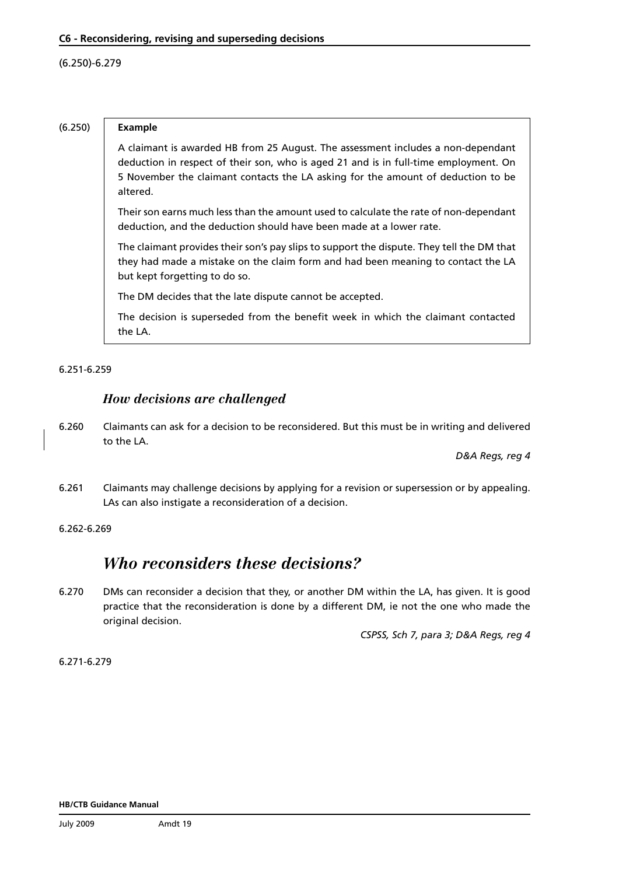#### (6.250)-6.279

#### (6.250) **Example**

A claimant is awarded HB from 25 August. The assessment includes a non-dependant deduction in respect of their son, who is aged 21 and is in full-time employment. On 5 November the claimant contacts the LA asking for the amount of deduction to be altered.

Their son earns much less than the amount used to calculate the rate of non-dependant deduction, and the deduction should have been made at a lower rate.

The claimant provides their son's pay slips to support the dispute. They tell the DM that they had made a mistake on the claim form and had been meaning to contact the LA but kept forgetting to do so.

The DM decides that the late dispute cannot be accepted.

The decision is superseded from the benefit week in which the claimant contacted the LA.

#### 6.251-6.259

### *How decisions are challenged*

6.260 Claimants can ask for a decision to be reconsidered. But this must be in writing and delivered to the LA.

*D&A Regs, reg 4*

6.261 Claimants may challenge decisions by applying for a revision or supersession or by appealing. LAs can also instigate a reconsideration of a decision.

#### 6.262-6.269

## *Who reconsiders these decisions?*

6.270 DMs can reconsider a decision that they, or another DM within the LA, has given. It is good practice that the reconsideration is done by a different DM, ie not the one who made the original decision.

*CSPSS, Sch 7, para 3; D&A Regs, reg 4*

6.271-6.279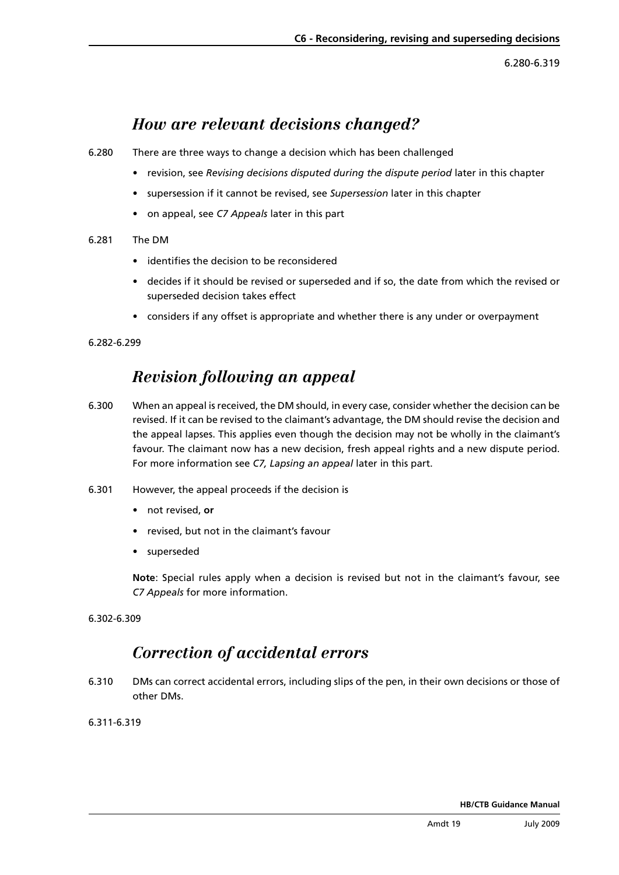6.280-6.319

## *How are relevant decisions changed?*

- <span id="page-11-0"></span>6.280 There are three ways to change a decision which has been challenged
	- • revision, see *[Revising decisions disputed during the dispute period](#page-17-0)* later in this chapter
	- • supersession if it cannot be revised, see *[Supersession](#page-24-0)* later in this chapter
	- • on appeal, see *[C7 Appeals](www.dwp.gov.uk/docs/hbgm-c7-appeals.pdf)* later in this part
- 6.281 The DM
	- • identifies the decision to be reconsidered
	- decides if it should be revised or superseded and if so, the date from which the revised or superseded decision takes effect
	- considers if any offset is appropriate and whether there is any under or overpayment

6.282-6.299

## *Revision following an appeal*

- 6.300 When an appeal is received, the DM should, in every case, consider whether the decision can be revised. If it can be revised to the claimant's advantage, the DM should revise the decision and the appeal lapses. This applies even though the decision may not be wholly in the claimant's favour. The claimant now has a new decision, fresh appeal rights and a new dispute period. For more information see *[C7, Lapsing an appeal](www.dwp.gov.uk/docs/hbgm-c7-appeals.pdf)* later in this part.
- 6.301 However, the appeal proceeds if the decision is
	- • not revised, **or**
	- revised, but not in the claimant's favour
	- • superseded

**Note**: Special rules apply when a decision is revised but not in the claimant's favour, see *[C7 Appeals](www.dwp.gov.uk/docs/hbgm-c7-appeals.pdf)* for more information.

6.302-6.309

## *Correction of accidental errors*

6.310 DMs can correct accidental errors, including slips of the pen, in their own decisions or those of other DMs.

6.311-6.319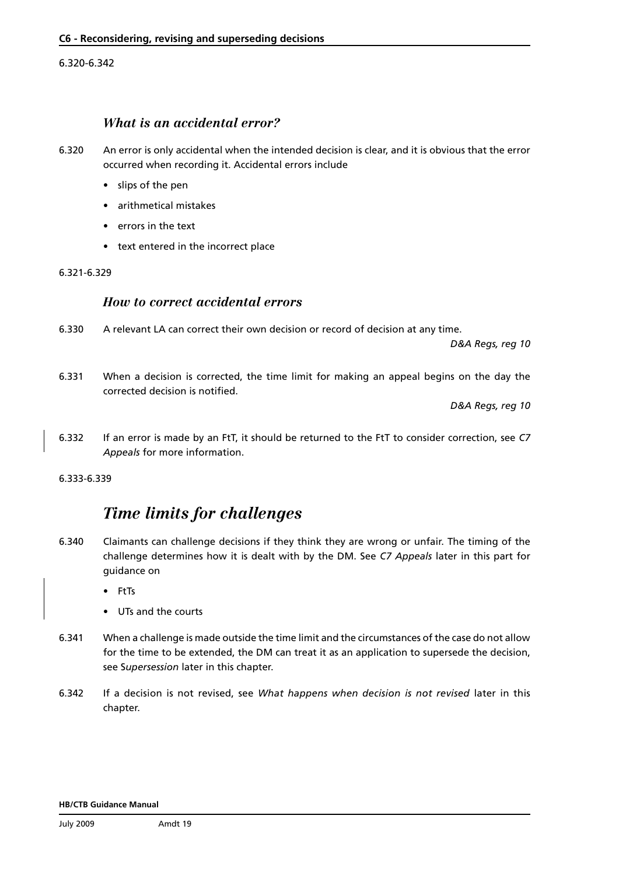#### 6.320-6.342

### *What is an accidental error?*

- 6.320 An error is only accidental when the intended decision is clear, and it is obvious that the error occurred when recording it. Accidental errors include
	- • slips of the pen
	- arithmetical mistakes
	- errors in the text
	- text entered in the incorrect place

#### 6.321-6.329

### *How to correct accidental errors*

6.330 A relevant LA can correct their own decision or record of decision at any time.

*D&A Regs, reg 10*

6.331 When a decision is corrected, the time limit for making an appeal begins on the day the corrected decision is notified.

*D&A Regs, reg 10*

6.332 [If an error is made by an FtT, it should be returned to the FtT to consider correction, see](www.dwp.gov.uk/docs/hbgm-c7-appeals.pdf) *C7 Appeals* for more information.

6.333-6.339

## *Time limits for challenges*

- 6.340 Claimants can challenge decisions if they think they are wrong or unfair. The timing of the challenge determines how it is dealt with by the DM. See *[C7 Appeals](www.dwp.gov.uk/docs/hbgm-c7-appeals.pdf)* later in this part for guidance on
	- **FtTs**
	- UTs and the courts
- 6.341 When a challenge is made outside the time limit and the circumstances of the case do not allow for the time to be extended, the DM can treat it as an application to supersede the decision, see S*[upersession](#page-24-0)* later in this chapter.
- 6.342 If a decision is not revised, see *[What happens when decision is not revised](#page-20-0)* later in this chapter.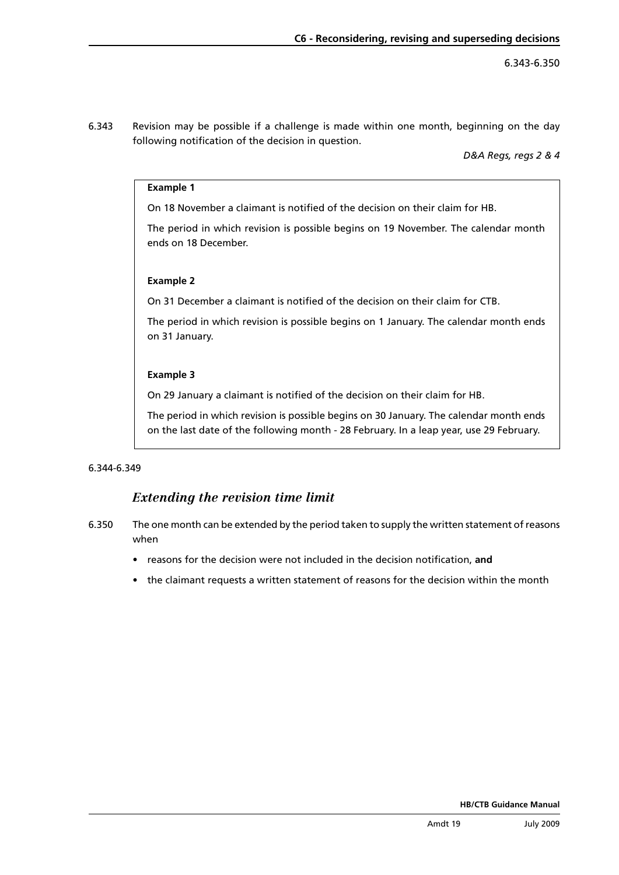6.343 Revision may be possible if a challenge is made within one month, beginning on the day following notification of the decision in question.

*D&A Regs, regs 2 & 4*

#### **Example 1**

On 18 November a claimant is notified of the decision on their claim for HB.

The period in which revision is possible begins on 19 November. The calendar month ends on 18 December.

#### **Example 2**

On 31 December a claimant is notified of the decision on their claim for CTB.

The period in which revision is possible begins on 1 January. The calendar month ends on 31 January.

#### **Example 3**

On 29 January a claimant is notified of the decision on their claim for HB.

The period in which revision is possible begins on 30 January. The calendar month ends on the last date of the following month - 28 February. In a leap year, use 29 February.

#### 6.344-6.349

### *Extending the revision time limit*

- 6.350 The one month can be extended by the period taken to supply the written statement of reasons when
	- • reasons for the decision were not included in the decision notification, **and**
	- the claimant requests a written statement of reasons for the decision within the month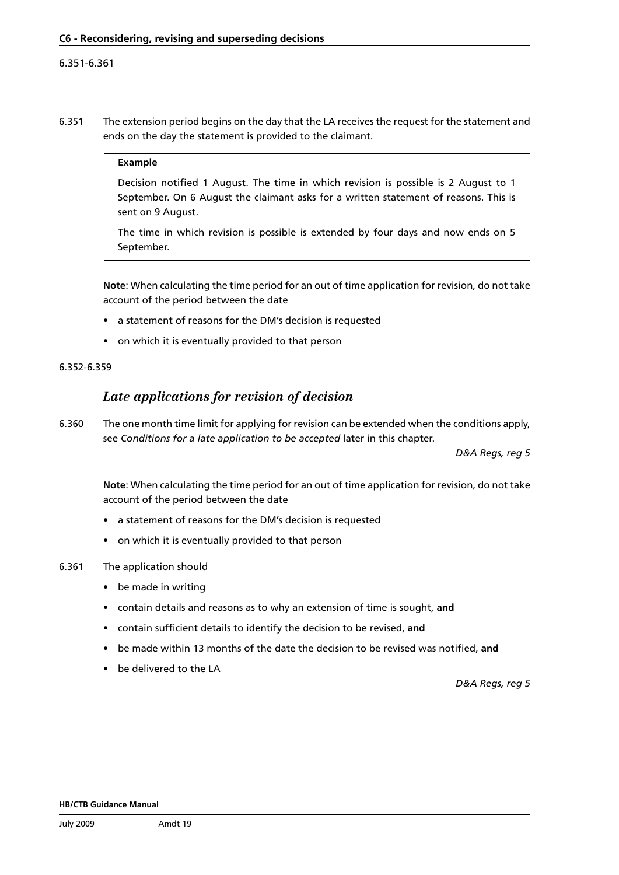#### <span id="page-14-0"></span>6.351-6.361

6.351 The extension period begins on the day that the LA receives the request for the statement and ends on the day the statement is provided to the claimant.

#### **Example**

Decision notified 1 August. The time in which revision is possible is 2 August to 1 September. On 6 August the claimant asks for a written statement of reasons. This is sent on 9 August.

The time in which revision is possible is extended by four days and now ends on 5 September.

**Note**: When calculating the time period for an out of time application for revision, do not take account of the period between the date

- a statement of reasons for the DM's decision is requested
- on which it is eventually provided to that person

#### 6.352-6.359

### *Late applications for revision of decision*

6.360 The one month time limit for applying for revision can be extended when the conditions apply, see *[Conditions for a late application to be accepted](#page-15-0)* later in this chapter.

*D&A Regs, reg 5*

**Note**: When calculating the time period for an out of time application for revision, do not take account of the period between the date

- a statement of reasons for the DM's decision is requested
- on which it is eventually provided to that person
- 6.361 The application should
	- be made in writing
	- • contain details and reasons as to why an extension of time is sought, **and**
	- contain sufficient details to identify the decision to be revised, and
	- be made within 13 months of the date the decision to be revised was notified, and
	- be delivered to the LA

*D&A Regs, reg 5*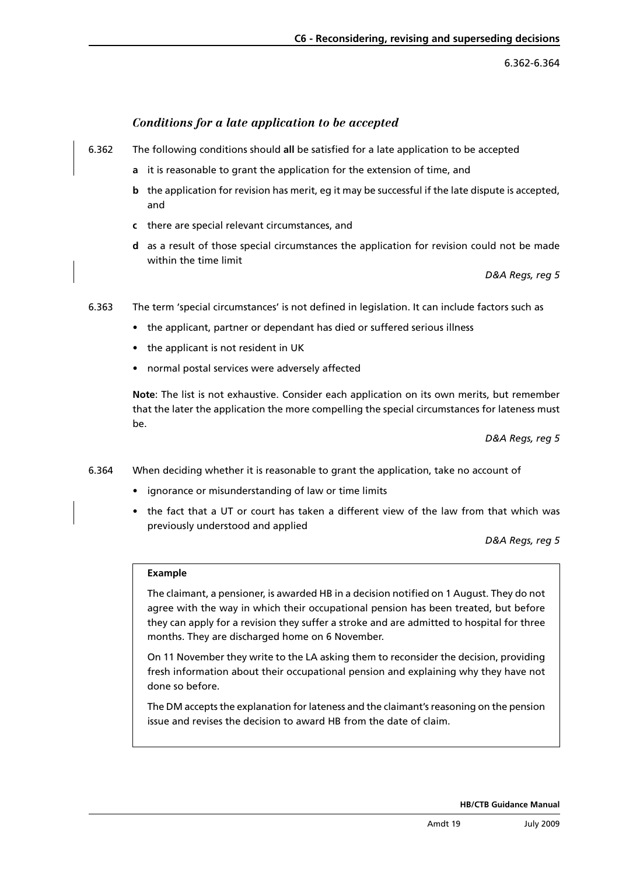6.362-6.364

### *Conditions for a late application to be accepted*

- <span id="page-15-0"></span>6.362 The following conditions should **all** be satisfied for a late application to be accepted
	- **a** it is reasonable to grant the application for the extension of time, and
	- **b** the application for revision has merit, eg it may be successful if the late dispute is accepted, and
	- **c** there are special relevant circumstances, and
	- **d** as a result of those special circumstances the application for revision could not be made within the time limit

*D&A Regs, reg 5*

- 6.363 The term 'special circumstances' is not defined in legislation. It can include factors such as
	- the applicant, partner or dependant has died or suffered serious illness
	- the applicant is not resident in UK
	- normal postal services were adversely affected

**Note**: The list is not exhaustive. Consider each application on its own merits, but remember that the later the application the more compelling the special circumstances for lateness must be.

*D&A Regs, reg 5*

- 6.364 When deciding whether it is reasonable to grant the application, take no account of
	- ignorance or misunderstanding of law or time limits
	- the fact that a UT or court has taken a different view of the law from that which was previously understood and applied

*D&A Regs, reg 5*

#### **Example**

The claimant, a pensioner, is awarded HB in a decision notified on 1 August. They do not agree with the way in which their occupational pension has been treated, but before they can apply for a revision they suffer a stroke and are admitted to hospital for three months. They are discharged home on 6 November.

On 11 November they write to the LA asking them to reconsider the decision, providing fresh information about their occupational pension and explaining why they have not done so before.

The DM accepts the explanation for lateness and the claimant's reasoning on the pension issue and revises the decision to award HB from the date of claim.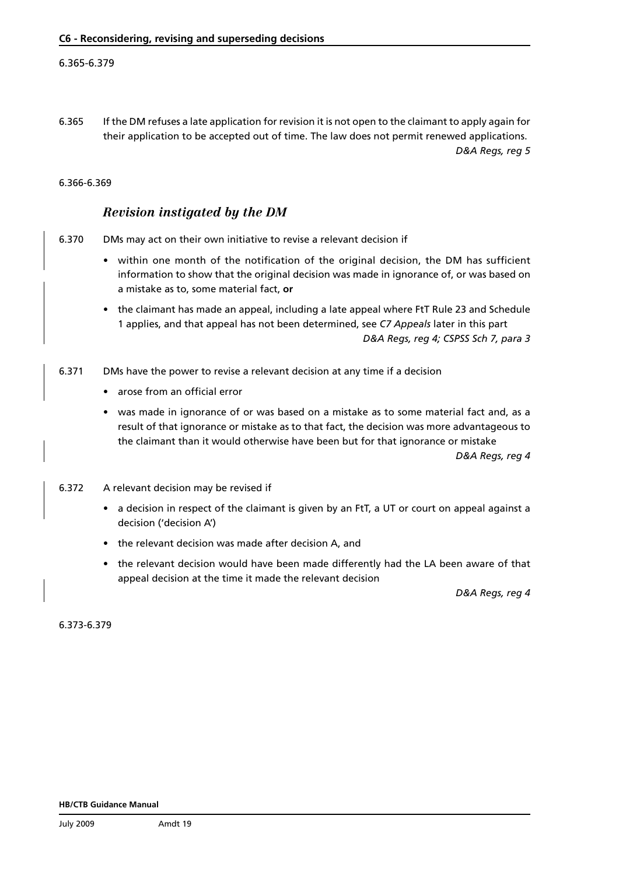#### 6.365-6.379

6.365 If the DM refuses a late application for revision it is not open to the claimant to apply again for their application to be accepted out of time. The law does not permit renewed applications. *D&A Regs, reg 5*

#### 6.366-6.369

### *Revision instigated by the DM*

6.370 DMs may act on their own initiative to revise a relevant decision if

- • within one month of the notification of the original decision, the DM has sufficient information to show that the original decision was made in ignorance of, or was based on a mistake as to, some material fact, **or**
- the claimant has made an appeal, including a late appeal where FtT Rule 23 and Schedule 1 applies, and that appeal has not been determined, see *[C7 Appeals](www.dwp.gov.uk/docs/hbgm-c7-appeals.pdf)* later in this part *D&A Regs, reg 4; CSPSS Sch 7, para 3*
- 6.371 DMs have the power to revise a relevant decision at any time if a decision
	- arose from an official error
	- was made in ignorance of or was based on a mistake as to some material fact and, as a result of that ignorance or mistake as to that fact, the decision was more advantageous to the claimant than it would otherwise have been but for that ignorance or mistake

*D&A Regs, reg 4*

- 6.372 A relevant decision may be revised if
	- a decision in respect of the claimant is given by an FtT, a UT or court on appeal against a decision ('decision A')
	- the relevant decision was made after decision A, and
	- the relevant decision would have been made differently had the LA been aware of that appeal decision at the time it made the relevant decision

*D&A Regs, reg 4*

6.373-6.379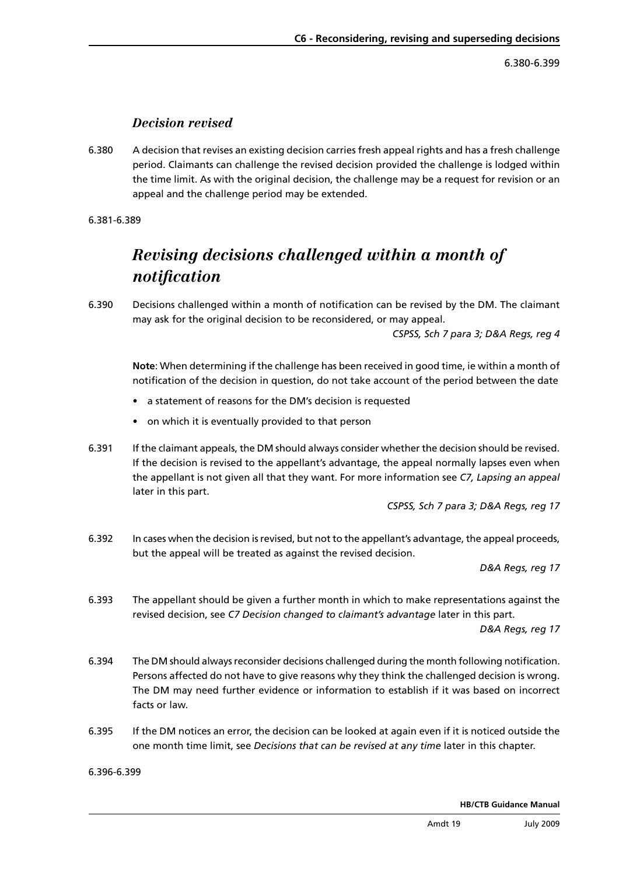6.380-6.399

### *Decision revised*

<span id="page-17-0"></span>6.380 A decision that revises an existing decision carries fresh appeal rights and has a fresh challenge period. Claimants can challenge the revised decision provided the challenge is lodged within the time limit. As with the original decision, the challenge may be a request for revision or an appeal and the challenge period may be extended.

6.381-6.389

## *Revising decisions challenged within a month of notification*

6.390 Decisions challenged within a month of notification can be revised by the DM. The claimant may ask for the original decision to be reconsidered, or may appeal.

*CSPSS, Sch 7 para 3; D&A Regs, reg 4*

**Note**: When determining if the challenge has been received in good time, ie within a month of notification of the decision in question, do not take account of the period between the date

- a statement of reasons for the DM's decision is requested
- on which it is eventually provided to that person
- 6.391 If the claimant appeals, the DM should always consider whether the decision should be revised. If the decision is revised to the appellant's advantage, the appeal normally lapses even when the appellant is not given all that they want. For more information see *[C7, Lapsing an appeal](www.dwp.gov.uk/docs/hbgm-c7-appeals.pdf)*  later in this part.

*CSPSS, Sch 7 para 3; D&A Regs, reg 17*

6.392 In cases when the decision is revised, but not to the appellant's advantage, the appeal proceeds, but the appeal will be treated as against the revised decision.

*D&A Regs, reg 17*

6.393 The appellant should be given a further month in which to make representations against the revised decision, see *[C7 Decision changed to claimant's advantage](www.dwp.gov.uk/docs/hbgm-c7-appeals.pdf)* later in this part.

*D&A Regs, reg 17*

- 6.394 The DM should always reconsider decisions challenged during the month following notification. Persons affected do not have to give reasons why they think the challenged decision is wrong. The DM may need further evidence or information to establish if it was based on incorrect facts or law.
- 6.395 If the DM notices an error, the decision can be looked at again even if it is noticed outside the one month time limit, see *[Decisions that can be revised at any time](#page-21-0)* later in this chapter.

6.396-6.399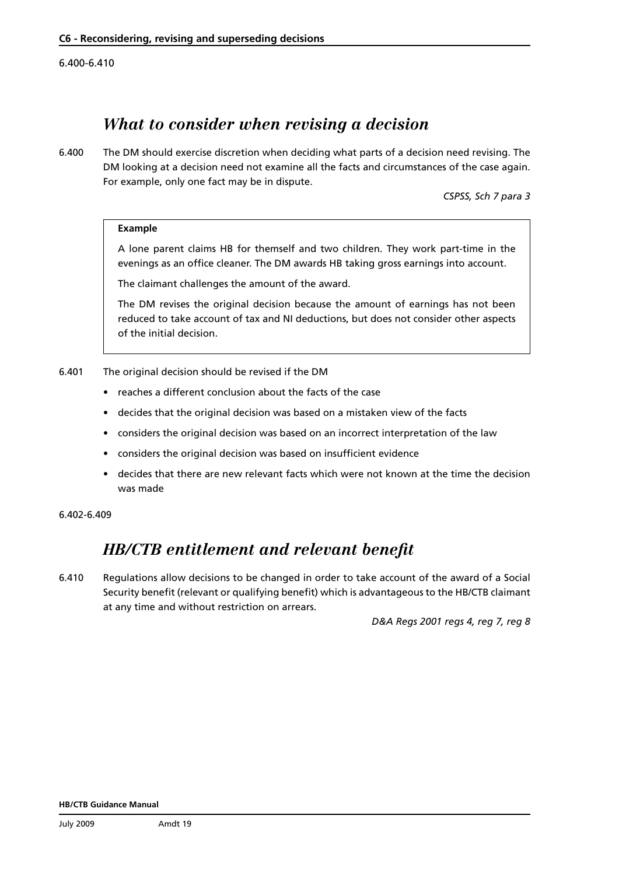<span id="page-18-0"></span>6.400-6.410

## *What to consider when revising a decision*

6.400 The DM should exercise discretion when deciding what parts of a decision need revising. The DM looking at a decision need not examine all the facts and circumstances of the case again. For example, only one fact may be in dispute.

*CSPSS, Sch 7 para 3*

#### **Example**

A lone parent claims HB for themself and two children. They work part-time in the evenings as an office cleaner. The DM awards HB taking gross earnings into account.

The claimant challenges the amount of the award.

The DM revises the original decision because the amount of earnings has not been reduced to take account of tax and NI deductions, but does not consider other aspects of the initial decision.

- 6.401 The original decision should be revised if the DM
	- • reaches a different conclusion about the facts of the case
	- decides that the original decision was based on a mistaken view of the facts
	- considers the original decision was based on an incorrect interpretation of the law
	- considers the original decision was based on insufficient evidence
	- • decides that there are new relevant facts which were not known at the time the decision was made

6.402-6.409

## *HB/CTB entitlement and relevant benefit*

6.410 Regulations allow decisions to be changed in order to take account of the award of a Social Security benefit (relevant or qualifying benefit) which is advantageous to the HB/CTB claimant at any time and without restriction on arrears.

*D&A Regs 2001 regs 4, reg 7, reg 8*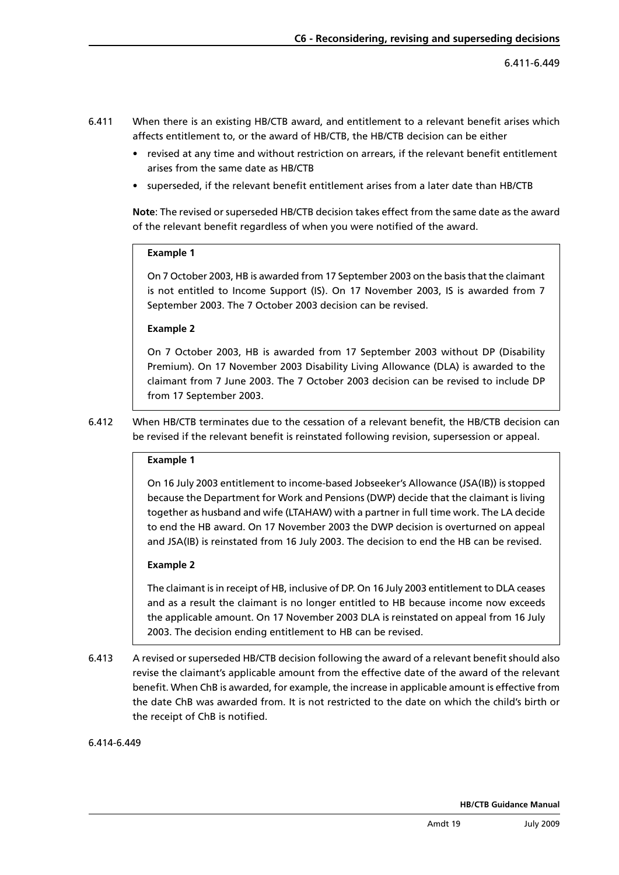- 6.411 When there is an existing HB/CTB award, and entitlement to a relevant benefit arises which affects entitlement to, or the award of HB/CTB, the HB/CTB decision can be either
	- revised at any time and without restriction on arrears, if the relevant benefit entitlement arises from the same date as HB/CTB
	- superseded, if the relevant benefit entitlement arises from a later date than HB/CTB

**Note**: The revised or superseded HB/CTB decision takes effect from the same date as the award of the relevant benefit regardless of when you were notified of the award.

#### **Example 1**

On 7 October 2003, HB is awarded from 17 September 2003 on the basis that the claimant is not entitled to Income Support (IS). On 17 November 2003, IS is awarded from 7 September 2003. The 7 October 2003 decision can be revised.

#### **Example 2**

On 7 October 2003, HB is awarded from 17 September 2003 without DP (Disability Premium). On 17 November 2003 Disability Living Allowance (DLA) is awarded to the claimant from 7 June 2003. The 7 October 2003 decision can be revised to include DP from 17 September 2003.

6.412 When HB/CTB terminates due to the cessation of a relevant benefit, the HB/CTB decision can be revised if the relevant benefit is reinstated following revision, supersession or appeal.

#### **Example 1**

On 16 July 2003 entitlement to income-based Jobseeker's Allowance (JSA(IB)) is stopped because the Department for Work and Pensions (DWP) decide that the claimant is living together as husband and wife (LTAHAW) with a partner in full time work. The LA decide to end the HB award. On 17 November 2003 the DWP decision is overturned on appeal and JSA(IB) is reinstated from 16 July 2003. The decision to end the HB can be revised.

#### **Example 2**

The claimant is in receipt of HB, inclusive of DP. On 16 July 2003 entitlement to DLA ceases and as a result the claimant is no longer entitled to HB because income now exceeds the applicable amount. On 17 November 2003 DLA is reinstated on appeal from 16 July 2003. The decision ending entitlement to HB can be revised.

6.413 A revised or superseded HB/CTB decision following the award of a relevant benefit should also revise the claimant's applicable amount from the effective date of the award of the relevant benefit. When ChB is awarded, for example, the increase in applicable amount is effective from the date ChB was awarded from. It is not restricted to the date on which the child's birth or the receipt of ChB is notified.

#### 6.414-6.449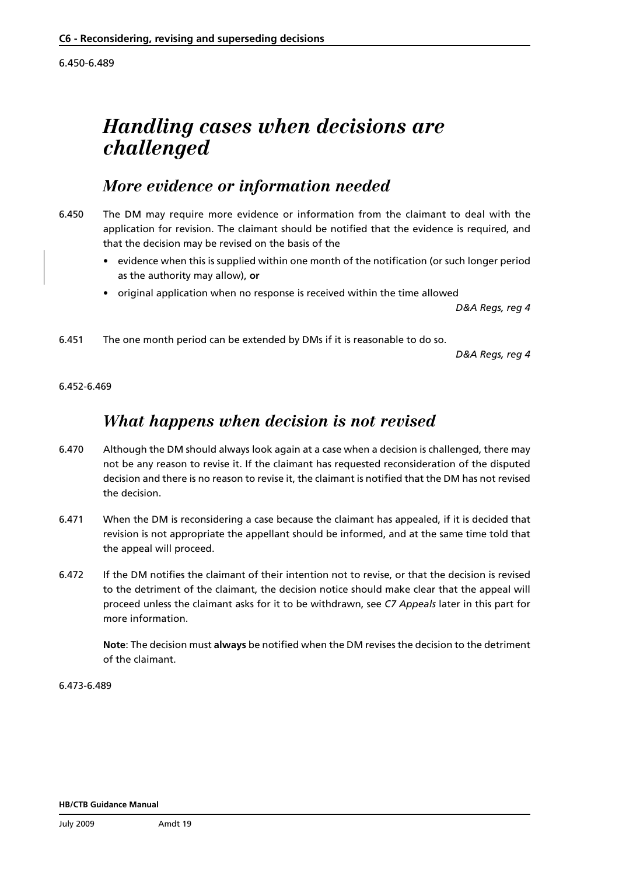<span id="page-20-0"></span>6.450-6.489

# *Handling cases when decisions are challenged*

## *More evidence or information needed*

- 6.450 The DM may require more evidence or information from the claimant to deal with the application for revision. The claimant should be notified that the evidence is required, and that the decision may be revised on the basis of the
	- evidence when this is supplied within one month of the notification (or such longer period as the authority may allow), **or**
	- original application when no response is received within the time allowed

*D&A Regs, reg 4*

6.451 The one month period can be extended by DMs if it is reasonable to do so.

*D&A Regs, reg 4*

6.452-6.469

## *What happens when decision is not revised*

- 6.470 Although the DM should always look again at a case when a decision is challenged, there may not be any reason to revise it. If the claimant has requested reconsideration of the disputed decision and there is no reason to revise it, the claimant is notified that the DM has not revised the decision.
- 6.471 When the DM is reconsidering a case because the claimant has appealed, if it is decided that revision is not appropriate the appellant should be informed, and at the same time told that the appeal will proceed.
- 6.472 If the DM notifies the claimant of their intention not to revise, or that the decision is revised to the detriment of the claimant, the decision notice should make clear that the appeal will proceed unless the claimant asks for it to be withdrawn, see *[C7 Appeals](www.dwp.gov.uk/docs/hbgm-c7-appeals.pdf)* later in this part for more information.

**Note**: The decision must **always** be notified when the DM revises the decision to the detriment of the claimant.

6.473-6.489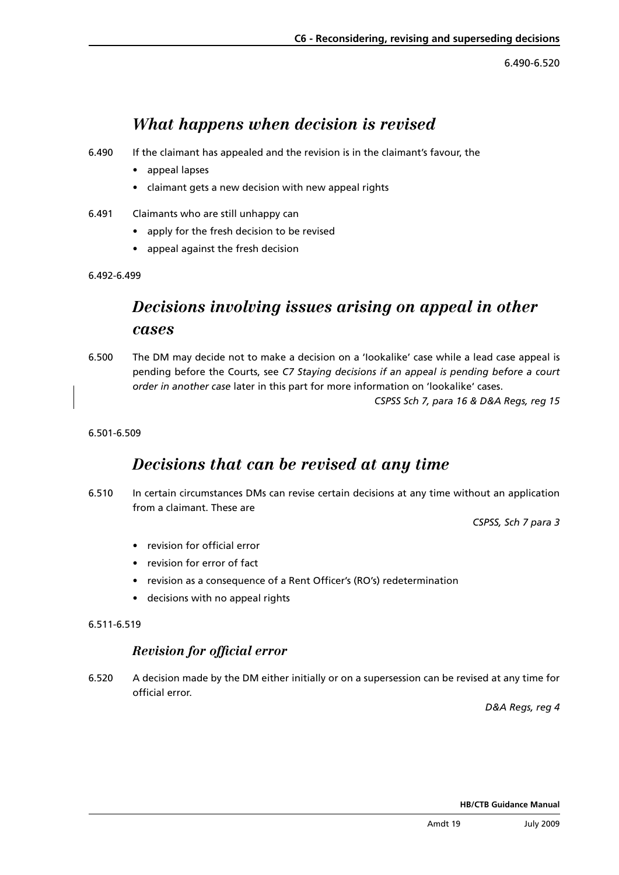6.490-6.520

## *What happens when decision is revised*

- <span id="page-21-0"></span>6.490 If the claimant has appealed and the revision is in the claimant's favour, the
	- • appeal lapses
	- • claimant gets a new decision with new appeal rights
- 6.491 Claimants who are still unhappy can
	- • apply for the fresh decision to be revised
	- appeal against the fresh decision
- 6.492-6.499

## *Decisions involving issues arising on appeal in other cases*

6.500 The DM may decide not to make a decision on a 'Iookalike' case while a lead case appeal is pending before the Courts, see *[C7 Staying decisions if an appeal is pending before a court](www.dwp.gov.uk/docs/hbgm-c7-appeals.pdf)  order in another case* later in this part for more information on 'lookalike' cases.

*CSPSS Sch 7, para 16 & D&A Regs, reg 15*

#### 6.501-6.509

## *Decisions that can be revised at any time*

6.510 In certain circumstances DMs can revise certain decisions at any time without an application from a claimant. These are

*CSPSS, Sch 7 para 3*

- • revision for official error
- • revision for error of fact
- revision as a consequence of a Rent Officer's (RO's) redetermination
- • decisions with no appeal rights

#### 6.511-6.519

### *Revision for official error*

6.520 A decision made by the DM either initially or on a supersession can be revised at any time for official error.

*D&A Regs, reg 4*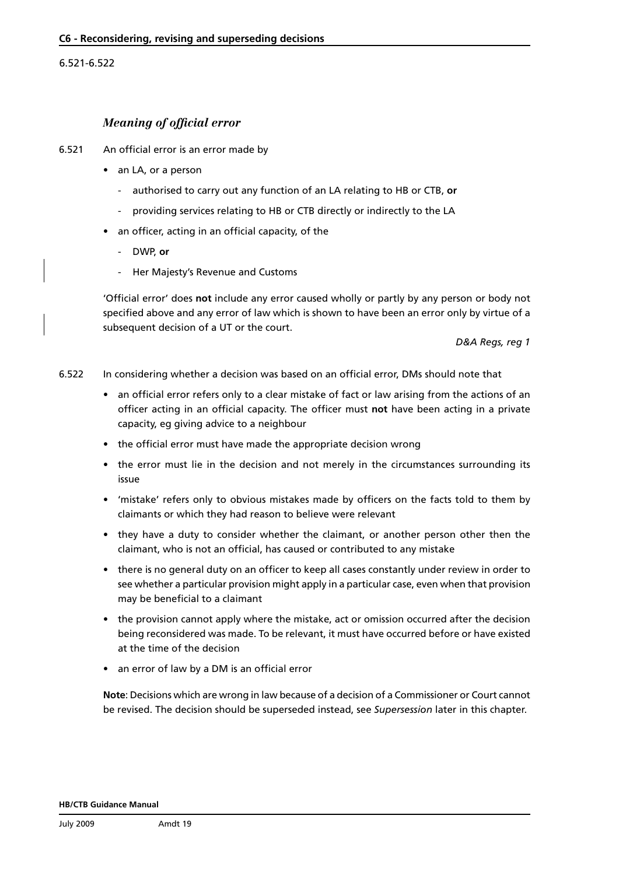#### <span id="page-22-0"></span>6.521-6.522

#### *Meaning of official error*

- 6.521 An official error is an error made by
	- an LA, or a person
		- authorised to carry out any function of an LA relating to HB or CTB, **or**
		- providing services relating to HB or CTB directly or indirectly to the LA
	- an officer, acting in an official capacity, of the
		- DWP, **or**
		- Her Majesty's Revenue and Customs

'Official error' does **not** include any error caused wholly or partly by any person or body not specified above and any error of law which is shown to have been an error only by virtue of a subsequent decision of a UT or the court.

*D&A Regs, reg 1*

6.522 In considering whether a decision was based on an official error, DMs should note that

- an official error refers only to a clear mistake of fact or law arising from the actions of an officer acting in an official capacity. The officer must **not** have been acting in a private capacity, eg giving advice to a neighbour
- the official error must have made the appropriate decision wrong
- the error must lie in the decision and not merely in the circumstances surrounding its issue
- • 'mistake' refers only to obvious mistakes made by officers on the facts told to them by claimants or which they had reason to believe were relevant
- they have a duty to consider whether the claimant, or another person other then the claimant, who is not an official, has caused or contributed to any mistake
- there is no general duty on an officer to keep all cases constantly under review in order to see whether a particular provision might apply in a particular case, even when that provision may be beneficial to a claimant
- the provision cannot apply where the mistake, act or omission occurred after the decision being reconsidered was made. To be relevant, it must have occurred before or have existed at the time of the decision
- an error of law by a DM is an official error

**Note**: Decisions which are wrong in law because of a decision of a Commissioner or Court cannot be revised. The decision should be superseded instead, see *[Supersession](#page-24-0)* later in this chapter.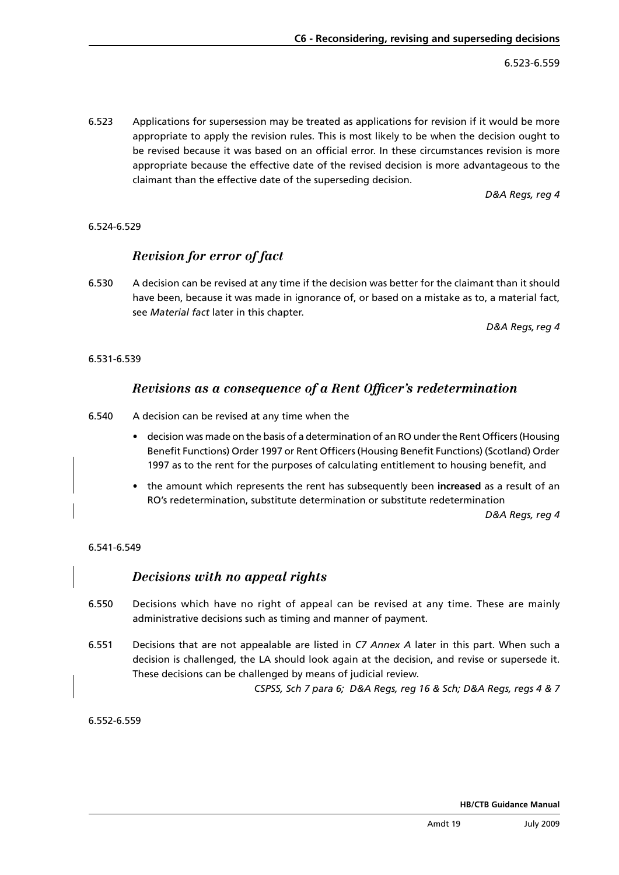6.523-6.559

6.523 Applications for supersession may be treated as applications for revision if it would be more appropriate to apply the revision rules. This is most likely to be when the decision ought to be revised because it was based on an official error. In these circumstances revision is more appropriate because the effective date of the revised decision is more advantageous to the claimant than the effective date of the superseding decision.

*D&A Regs, reg 4*

### 6.524-6.529

## *Revision for error of fact*

6.530 A decision can be revised at any time if the decision was better for the claimant than it should have been, because it was made in ignorance of, or based on a mistake as to, a material fact, see *[Material fact](#page-37-0)* later in this chapter.

*D&A Regs,reg 4*

#### 6.531-6.539

### *Revisions as a consequence of a Rent Officer's redetermination*

- 6.540 A decision can be revised at any time when the
	- decision was made on the basis of a determination of an RO under the Rent Officers (Housing Benefit Functions) Order 1997 or Rent Officers (Housing Benefit Functions) (Scotland) Order 1997 as to the rent for the purposes of calculating entitlement to housing benefit, and
	- • the amount which represents the rent has subsequently been **increased** as a result of an RO's redetermination, substitute determination or substitute redetermination

*D&A Regs, reg 4*

#### 6.541-6.549

### *Decisions with no appeal rights*

- 6.550 Decisions which have no right of appeal can be revised at any time. These are mainly administrative decisions such as timing and manner of payment.
- 6.551 Decisions that are not appealable are listed in *[C7 Annex A](www.dwp.gov.uk/docs/hbgm-c7-appeals.pdf)* later in this part. When such a decision is challenged, the LA should look again at the decision, and revise or supersede it. These decisions can be challenged by means of judicial review.

*CSPSS, Sch 7 para 6; D&A Regs, reg 16 & Sch; D&A Regs, regs 4 & 7*

6.552-6.559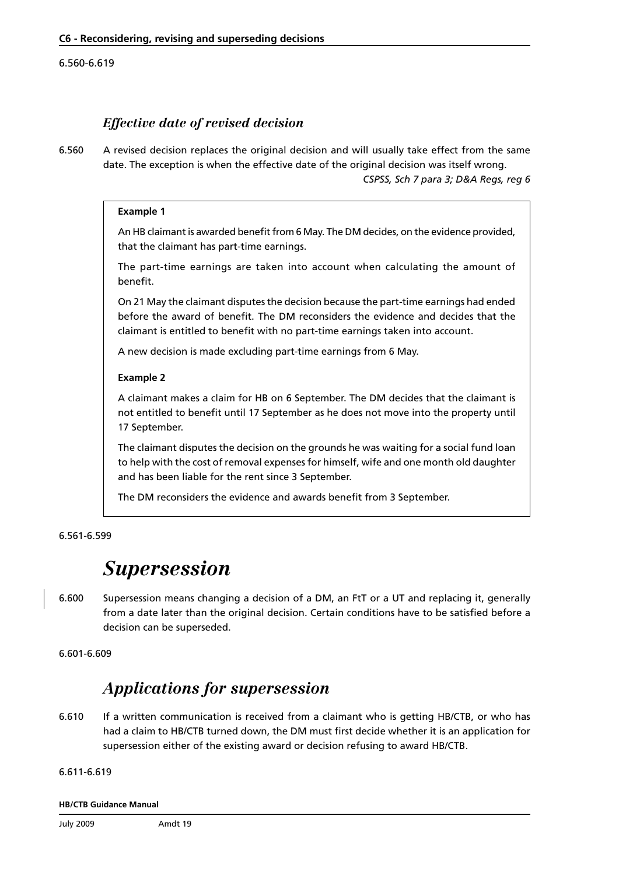#### <span id="page-24-0"></span>6.560-6.619

## *Effective date of revised decision*

6.560 A revised decision replaces the original decision and will usually take effect from the same date. The exception is when the effective date of the original decision was itself wrong.

*CSPSS, Sch 7 para 3; D&A Regs, reg 6*

#### **Example 1**

An HB claimant is awarded benefit from 6 May. The DM decides, on the evidence provided, that the claimant has part-time earnings.

The part-time earnings are taken into account when calculating the amount of benefit.

On 21 May the claimant disputes the decision because the part-time earnings had ended before the award of benefit. The DM reconsiders the evidence and decides that the claimant is entitled to benefit with no part-time earnings taken into account.

A new decision is made excluding part-time earnings from 6 May.

#### **Example 2**

A claimant makes a claim for HB on 6 September. The DM decides that the claimant is not entitled to benefit until 17 September as he does not move into the property until 17 September.

The claimant disputes the decision on the grounds he was waiting for a social fund loan to help with the cost of removal expenses for himself, wife and one month old daughter and has been liable for the rent since 3 September.

The DM reconsiders the evidence and awards benefit from 3 September.

#### 6.561-6.599

## *Supersession*

6.600 Supersession means changing a decision of a DM, an FtT or a UT and replacing it, generally from a date later than the original decision. Certain conditions have to be satisfied before a decision can be superseded.

6.601-6.609

## *Applications for supersession*

6.610 If a written communication is received from a claimant who is getting HB/CTB, or who has had a claim to HB/CTB turned down, the DM must first decide whether it is an application for supersession either of the existing award or decision refusing to award HB/CTB.

#### 6.611-6.619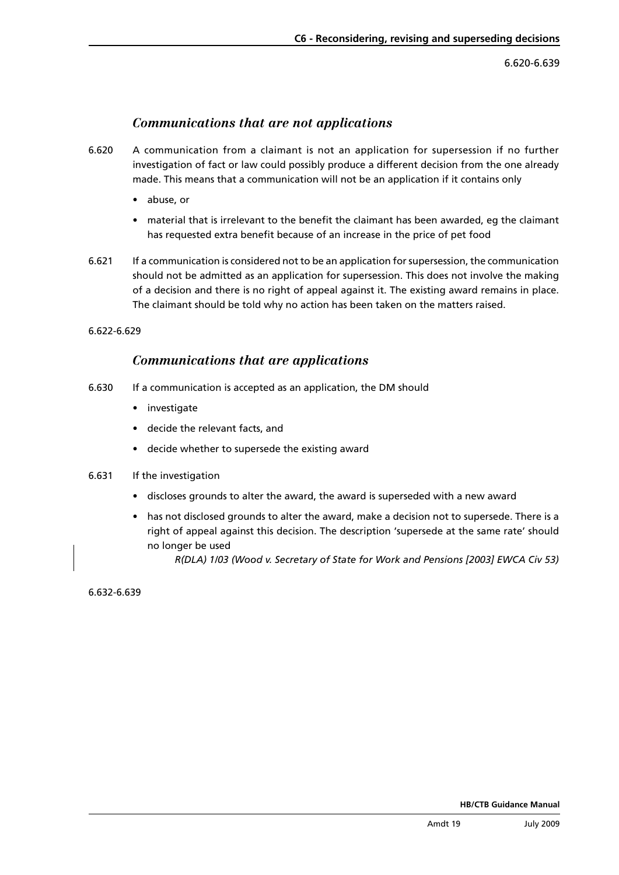6.620-6.639

### *Communications that are not applications*

- 6.620 A communication from a claimant is not an application for supersession if no further investigation of fact or law could possibly produce a different decision from the one already made. This means that a communication will not be an application if it contains only
	- • abuse, or
	- material that is irrelevant to the benefit the claimant has been awarded, eg the claimant has requested extra benefit because of an increase in the price of pet food
- 6.621 If a communication is considered not to be an application for supersession, the communication should not be admitted as an application for supersession. This does not involve the making of a decision and there is no right of appeal against it. The existing award remains in place. The claimant should be told why no action has been taken on the matters raised.

6.622-6.629

### *Communications that are applications*

- 6.630 If a communication is accepted as an application, the DM should
	- investigate
	- • decide the relevant facts, and
	- • decide whether to supersede the existing award
- 6.631 If the investigation
	- • discloses grounds to alter the award, the award is superseded with a new award
	- has not disclosed grounds to alter the award, make a decision not to supersede. There is a right of appeal against this decision. The description 'supersede at the same rate' should no longer be used

*R(DLA) 1/03 (Wood v. Secretary of State for Work and Pensions [2003] EWCA Civ 53)*

6.632-6.639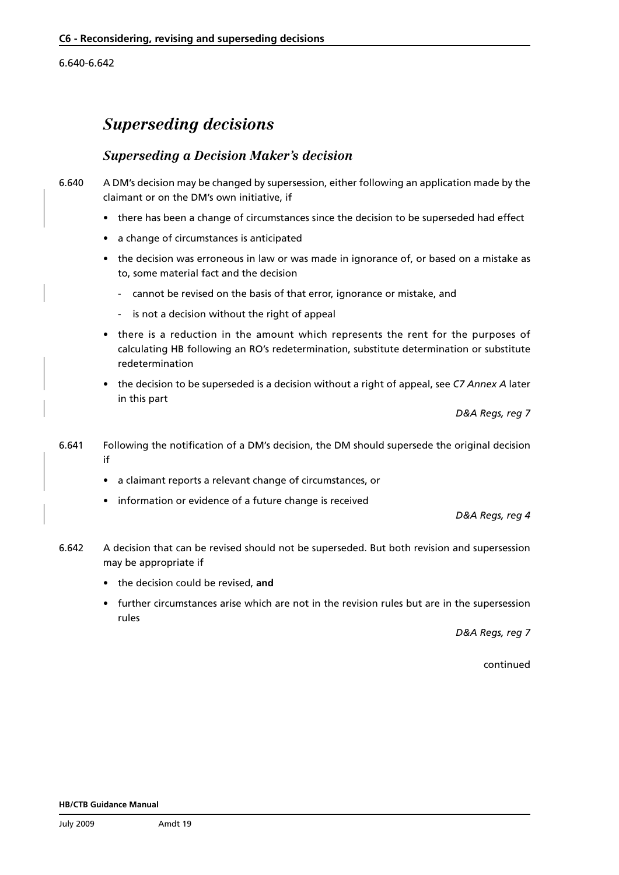6.640-6.642

## *Superseding decisions*

### *Superseding a Decision Maker's decision*

6.640 A DM's decision may be changed by supersession, either following an application made by the claimant or on the DM's own initiative, if

- • there has been a change of circumstances since the decision to be superseded had effect
- a change of circumstances is anticipated
- the decision was erroneous in law or was made in ignorance of, or based on a mistake as to, some material fact and the decision
	- cannot be revised on the basis of that error, ignorance or mistake, and
	- is not a decision without the right of appeal
- there is a reduction in the amount which represents the rent for the purposes of calculating HB following an RO's redetermination, substitute determination or substitute redetermination
- • the decision to be superseded is a decision without a right of appeal, see *[C7 Annex A](www.dwp.gov.uk/docs/hbgm-c7-appeals.pdf)* later in this part

*D&A Regs, reg 7*

- 6.641 Following the notification of a DM's decision, the DM should supersede the original decision if
	- • a claimant reports a relevant change of circumstances, or
	- information or evidence of a future change is received

*D&A Regs, reg 4*

- 6.642 A decision that can be revised should not be superseded. But both revision and supersession may be appropriate if
	- • the decision could be revised, **and**
	- further circumstances arise which are not in the revision rules but are in the supersession rules

*D&A Regs, reg 7*

continued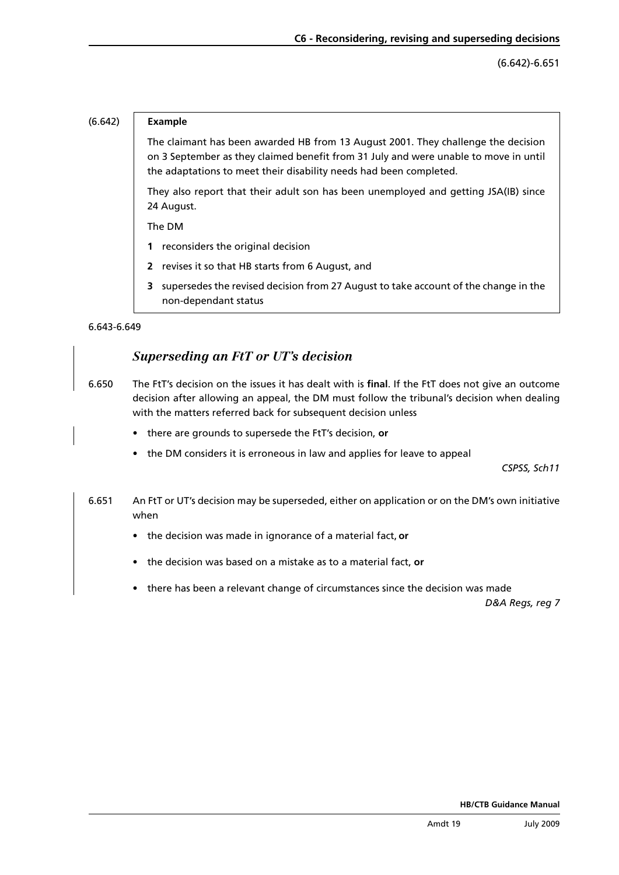(6.642)-6.651

#### (6.642) **Example**

The claimant has been awarded HB from 13 August 2001. They challenge the decision on 3 September as they claimed benefit from 31 July and were unable to move in until the adaptations to meet their disability needs had been completed.

They also report that their adult son has been unemployed and getting JSA(IB) since 24 August.

The DM

- **1** reconsiders the original decision
- **2** revises it so that HB starts from 6 August, and
- **3** supersedes the revised decision from 27 August to take account of the change in the non-dependant status

6.643-6.649

## *Superseding an FtT or UT's decision*

- 6.650 The FtT's decision on the issues it has dealt with is **final**. If the FtT does not give an outcome decision after allowing an appeal, the DM must follow the tribunal's decision when dealing with the matters referred back for subsequent decision unless
	- there are grounds to supersede the FtT's decision, or
	- the DM considers it is erroneous in law and applies for leave to appeal

*CSPSS, Sch11*

- 6.651 An FtT or UT's decision may be superseded, either on application or on the DM's own initiative when
	- • the decision was made in ignorance of a material fact, **or**
	- • the decision was based on a mistake as to a material fact, **or**
	- there has been a relevant change of circumstances since the decision was made

*D&A Regs, reg 7*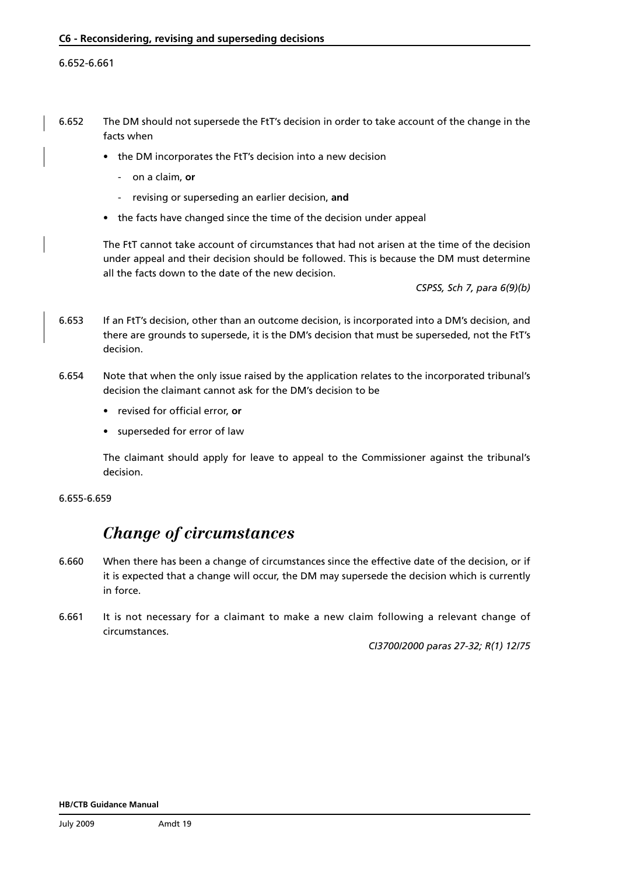#### 6.652-6.661

- 6.652 The DM should not supersede the FtT's decision in order to take account of the change in the facts when
	- the DM incorporates the FtT's decision into a new decision
		- on a claim, **or**
		- revising or superseding an earlier decision, **and**
	- the facts have changed since the time of the decision under appeal

The FtT cannot take account of circumstances that had not arisen at the time of the decision under appeal and their decision should be followed. This is because the DM must determine all the facts down to the date of the new decision.

*CSPSS, Sch 7, para 6(9)(b)*

- 6.653 If an FtT's decision, other than an outcome decision, is incorporated into a DM's decision, and there are grounds to supersede, it is the DM's decision that must be superseded, not the FtT's decision.
- 6.654 Note that when the only issue raised by the application relates to the incorporated tribunal's decision the claimant cannot ask for the DM's decision to be
	- revised for official error, or
	- superseded for error of law

The claimant should apply for leave to appeal to the Commissioner against the tribunal's decision.

6.655-6.659

## *Change of circumstances*

- 6.660 When there has been a change of circumstances since the effective date of the decision, or if it is expected that a change will occur, the DM may supersede the decision which is currently in force.
- 6.661 It is not necessary for a claimant to make a new claim following a relevant change of circumstances.

*CI3700/2000 paras 27-32; R(1) 12/75*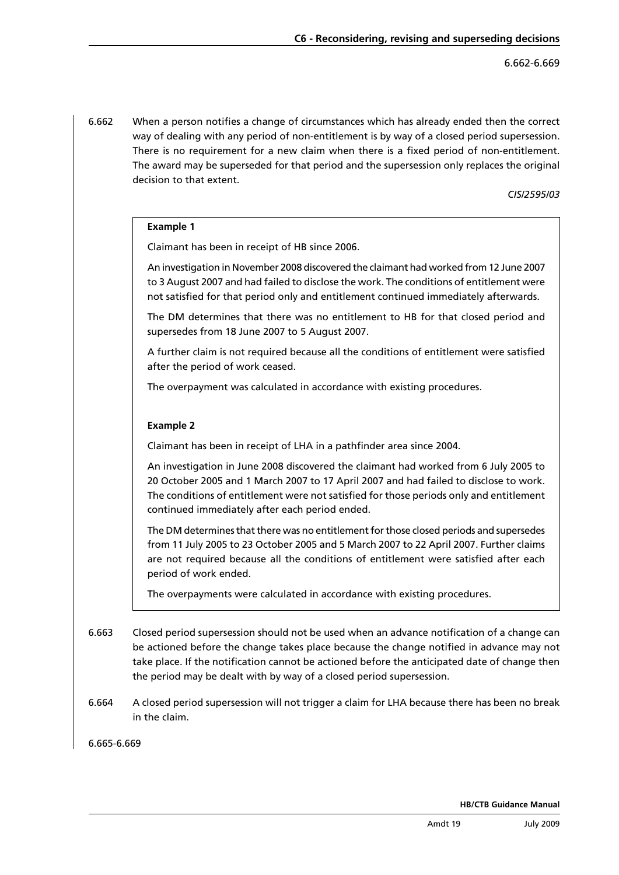6.662 When a person notifies a change of circumstances which has already ended then the correct way of dealing with any period of non-entitlement is by way of a closed period supersession. There is no requirement for a new claim when there is a fixed period of non-entitlement. The award may be superseded for that period and the supersession only replaces the original decision to that extent.

#### *CIS/2595/03*

#### **Example 1**

Claimant has been in receipt of HB since 2006.

An investigation in November 2008 discovered the claimant had worked from 12 June 2007 to 3 August 2007 and had failed to disclose the work. The conditions of entitlement were not satisfied for that period only and entitlement continued immediately afterwards.

The DM determines that there was no entitlement to HB for that closed period and supersedes from 18 June 2007 to 5 August 2007.

A further claim is not required because all the conditions of entitlement were satisfied after the period of work ceased.

The overpayment was calculated in accordance with existing procedures.

#### **Example 2**

Claimant has been in receipt of LHA in a pathfinder area since 2004.

An investigation in June 2008 discovered the claimant had worked from 6 July 2005 to 20 October 2005 and 1 March 2007 to 17 April 2007 and had failed to disclose to work. The conditions of entitlement were not satisfied for those periods only and entitlement continued immediately after each period ended.

The DM determines that there was no entitlement for those closed periods and supersedes from 11 July 2005 to 23 October 2005 and 5 March 2007 to 22 April 2007. Further claims are not required because all the conditions of entitlement were satisfied after each period of work ended.

The overpayments were calculated in accordance with existing procedures.

- 6.663 Closed period supersession should not be used when an advance notification of a change can be actioned before the change takes place because the change notified in advance may not take place. If the notification cannot be actioned before the anticipated date of change then the period may be dealt with by way of a closed period supersession.
- 6.664 A closed period supersession will not trigger a claim for LHA because there has been no break in the claim.

6.665-6.669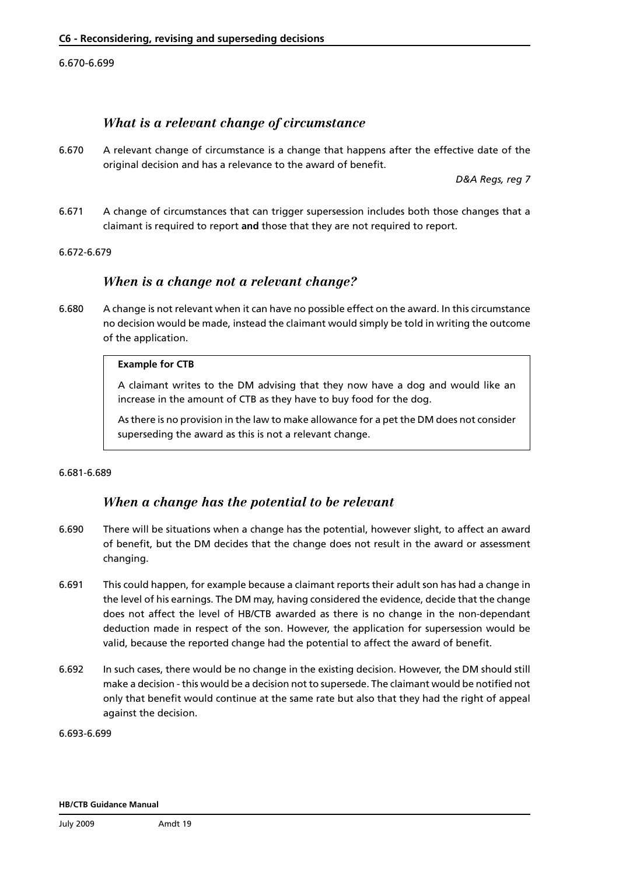#### 6.670-6.699

### *What is a relevant change of circumstance*

6.670 A relevant change of circumstance is a change that happens after the effective date of the original decision and has a relevance to the award of benefit.

*D&A Regs, reg 7*

6.671 A change of circumstances that can trigger supersession includes both those changes that a claimant is required to report **and** those that they are not required to report.

#### 6.672-6.679

### *When is a change not a relevant change?*

6.680 A change is not relevant when it can have no possible effect on the award. In this circumstance no decision would be made, instead the claimant would simply be told in writing the outcome of the application.

#### **Example for CTB**

A claimant writes to the DM advising that they now have a dog and would like an increase in the amount of CTB as they have to buy food for the dog.

As there is no provision in the law to make allowance for a pet the DM does not consider superseding the award as this is not a relevant change.

#### 6.681-6.689

### *When a change has the potential to be relevant*

- 6.690 There will be situations when a change has the potential, however slight, to affect an award of benefit, but the DM decides that the change does not result in the award or assessment changing.
- 6.691 This could happen, for example because a claimant reports their adult son has had a change in the level of his earnings. The DM may, having considered the evidence, decide that the change does not affect the level of HB/CTB awarded as there is no change in the non-dependant deduction made in respect of the son. However, the application for supersession would be valid, because the reported change had the potential to affect the award of benefit.
- 6.692 In such cases, there would be no change in the existing decision. However, the DM should still make a decision - this would be a decision not to supersede. The claimant would be notified not only that benefit would continue at the same rate but also that they had the right of appeal against the decision.

6.693-6.699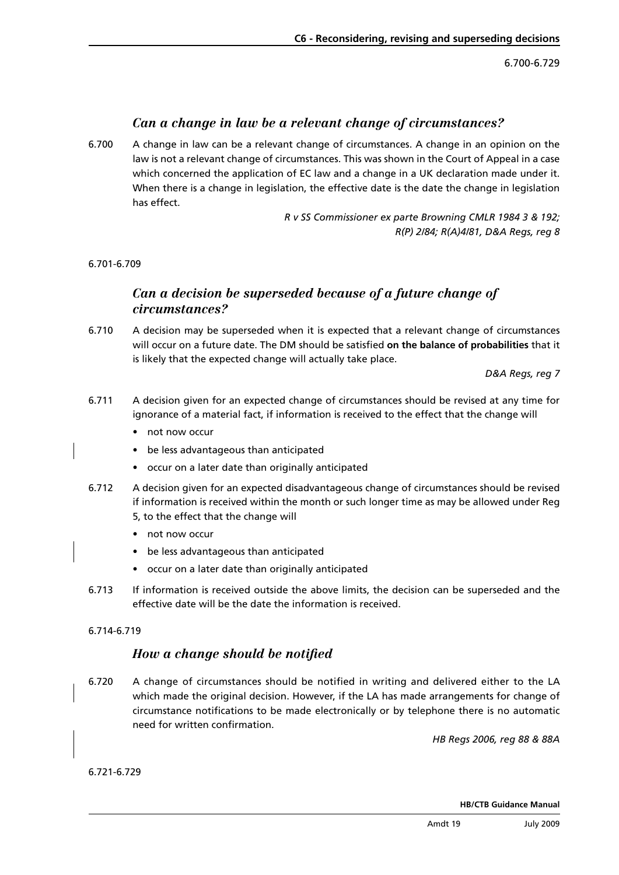6.700-6.729

### *Can a change in law be a relevant change of circumstances?*

6.700 A change in law can be a relevant change of circumstances. A change in an opinion on the law is not a relevant change of circumstances. This was shown in the Court of Appeal in a case which concerned the application of EC law and a change in a UK declaration made under it. When there is a change in legislation, the effective date is the date the change in legislation has effect.

> *R v SS Commissioner ex parte Browning CMLR 1984 3 & 192; R(P) 2/84; R(A)4/81, D&A Regs, reg 8*

6.701-6.709

## *Can a decision be superseded because of a future change of circumstances?*

6.710 A decision may be superseded when it is expected that a relevant change of circumstances will occur on a future date. The DM should be satisfied **on the balance of probabilities** that it is likely that the expected change will actually take place.

*D&A Regs, reg 7*

- 6.711 A decision given for an expected change of circumstances should be revised at any time for ignorance of a material fact, if information is received to the effect that the change will
	- not now occur
	- • be less advantageous than anticipated
	- • occur on a later date than originally anticipated
- 6.712 A decision given for an expected disadvantageous change of circumstances should be revised if information is received within the month or such longer time as may be allowed under Reg
	- 5, to the effect that the change will
	- not now occur
	- • be less advantageous than anticipated
	- • occur on a later date than originally anticipated
- 6.713 If information is received outside the above limits, the decision can be superseded and the effective date will be the date the information is received.

### 6.714-6.719

### *How a change should be notified*

6.720 A change of circumstances should be notified in writing and delivered either to the LA which made the original decision. However, if the LA has made arrangements for change of circumstance notifications to be made electronically or by telephone there is no automatic need for written confirmation.

*HB Regs 2006, reg 88 & 88A*

6.721-6.729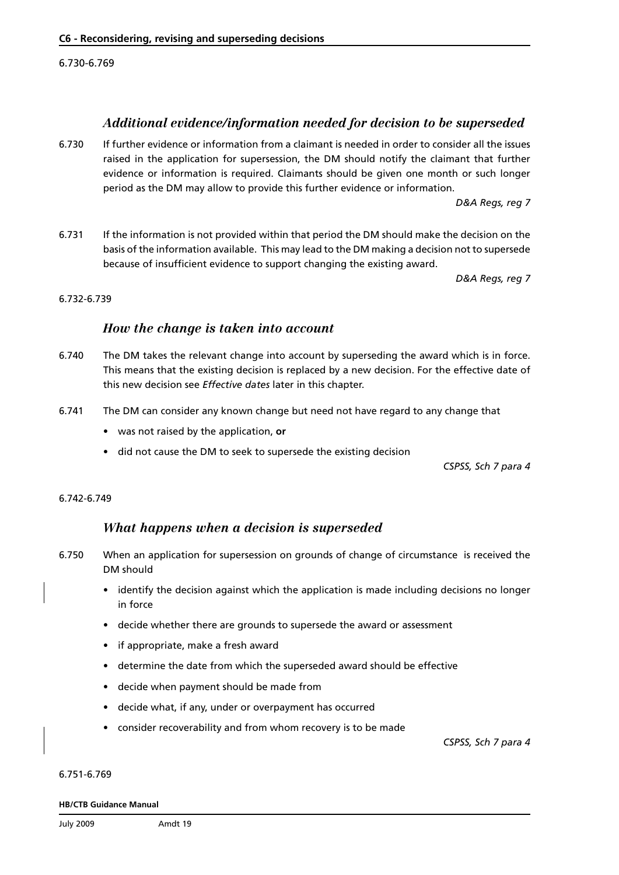6.730-6.769

### *Additional evidence/information needed for decision to be superseded*

6.730 If further evidence or information from a claimant is needed in order to consider all the issues raised in the application for supersession, the DM should notify the claimant that further evidence or information is required. Claimants should be given one month or such longer period as the DM may allow to provide this further evidence or information.

*D&A Regs, reg 7*

6.731 If the information is not provided within that period the DM should make the decision on the basis of the information available. This may lead to the DM making a decision not to supersede because of insufficient evidence to support changing the existing award.

*D&A Regs, reg 7*

#### 6.732-6.739

### *How the change is taken into account*

- 6.740 The DM takes the relevant change into account by superseding the award which is in force. This means that the existing decision is replaced by a new decision. For the effective date of this new decision see *[Effective dates](#page-33-0)* later in this chapter.
- 6.741 The DM can consider any known change but need not have regard to any change that
	- • was not raised by the application, **or**
	- did not cause the DM to seek to supersede the existing decision

*CSPSS, Sch 7 para 4*

#### 6.742-6.749

### *What happens when a decision is superseded*

- 6.750 When an application for supersession on grounds of change of circumstance is received the DM should
	- identify the decision against which the application is made including decisions no longer in force
	- decide whether there are grounds to supersede the award or assessment
	- • if appropriate, make a fresh award
	- • determine the date from which the superseded award should be effective
	- • decide when payment should be made from
	- decide what, if any, under or overpayment has occurred
	- consider recoverability and from whom recovery is to be made

*CSPSS, Sch 7 para 4*

6.751-6.769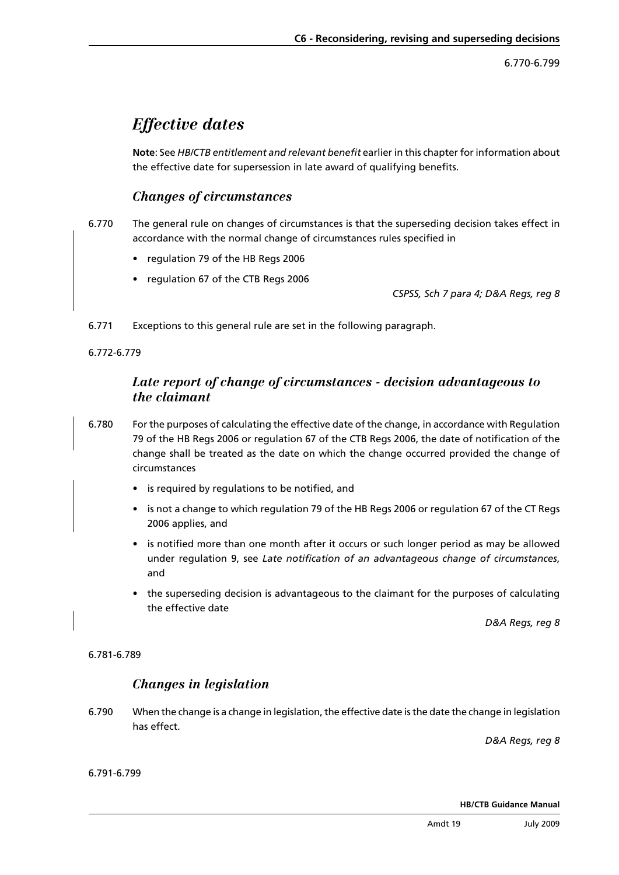6.770-6.799

## <span id="page-33-0"></span>*Effective dates*

**Note**: See *[HB/CTB entitlement and relevant benefit](#page-18-0)* earlier in this chapter for information about the effective date for supersession in late award of qualifying benefits.

## *Changes of circumstances*

- 6.770 The general rule on changes of circumstances is that the superseding decision takes effect in accordance with the normal change of circumstances rules specified in
	- regulation 79 of the HB Regs 2006
	- • regulation 67 of the CTB Regs 2006

*CSPSS, Sch 7 para 4; D&A Regs, reg 8*

6.771 Exceptions to this general rule are set in the following paragraph.

6.772-6.779

## *Late report of change of circumstances - decision advantageous to the claimant*

- 6.780 For the purposes of calculating the effective date of the change, in accordance with Regulation 79 of the HB Regs 2006 or regulation 67 of the CTB Regs 2006, the date of notification of the change shall be treated as the date on which the change occurred provided the change of circumstances
	- is required by regulations to be notified, and
	- is not a change to which regulation 79 of the HB Regs 2006 or regulation 67 of the CT Regs 2006 applies, and
	- is notified more than one month after it occurs or such longer period as may be allowed under regulation 9, see *[Late notification of an advantageous change of circumstances](#page-34-0)*, and
	- the superseding decision is advantageous to the claimant for the purposes of calculating the effective date

*D&A Regs, reg 8*

6.781-6.789

### *Changes in legislation*

6.790 When the change is a change in legislation, the effective date is the date the change in legislation has effect.

*D&A Regs, reg 8*

6.791-6.799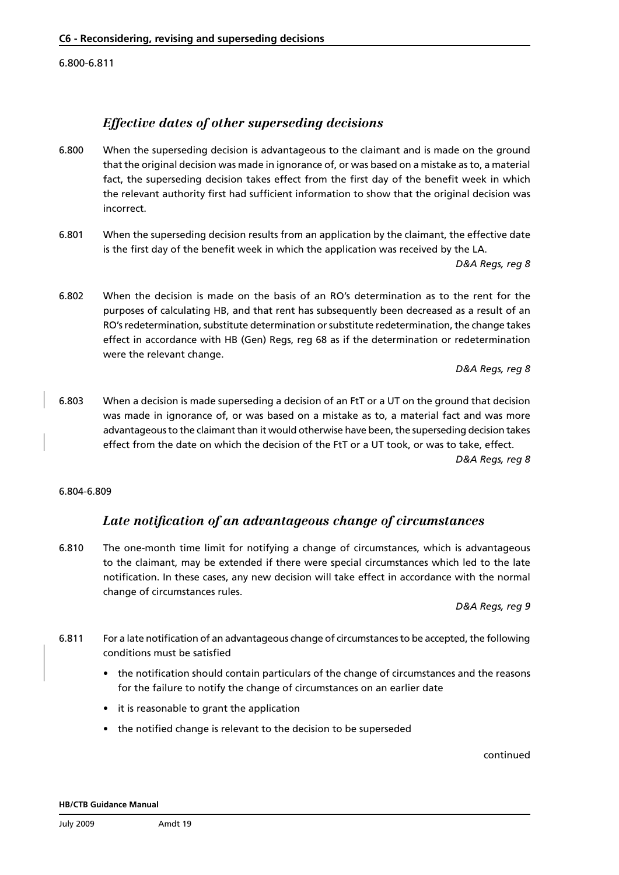<span id="page-34-0"></span>6.800-6.811

## *Effective dates of other superseding decisions*

- 6.800 When the superseding decision is advantageous to the claimant and is made on the ground that the original decision was made in ignorance of, or was based on a mistake as to, a material fact, the superseding decision takes effect from the first day of the benefit week in which the relevant authority first had sufficient information to show that the original decision was incorrect.
- 6.801 When the superseding decision results from an application by the claimant, the effective date is the first day of the benefit week in which the application was received by the LA.

*D&A Regs, reg 8*

6.802 When the decision is made on the basis of an RO's determination as to the rent for the purposes of calculating HB, and that rent has subsequently been decreased as a result of an RO's redetermination, substitute determination or substitute redetermination, the change takes effect in accordance with HB (Gen) Regs, reg 68 as if the determination or redetermination were the relevant change.

*D&A Regs, reg 8*

6.803 When a decision is made superseding a decision of an FtT or a UT on the ground that decision was made in ignorance of, or was based on a mistake as to, a material fact and was more advantageous to the claimant than it would otherwise have been, the superseding decision takes effect from the date on which the decision of the FtT or a UT took, or was to take, effect. *D&A Regs, reg 8*

6.804-6.809

## *Late notification of an advantageous change of circumstances*

6.810 The one-month time limit for notifying a change of circumstances, which is advantageous to the claimant, may be extended if there were special circumstances which led to the late notification. In these cases, any new decision will take effect in accordance with the normal change of circumstances rules.

*D&A Regs, reg 9*

- 6.811 For a late notification of an advantageous change of circumstances to be accepted, the following conditions must be satisfied
	- the notification should contain particulars of the change of circumstances and the reasons for the failure to notify the change of circumstances on an earlier date
	- • it is reasonable to grant the application
	- the notified change is relevant to the decision to be superseded

continued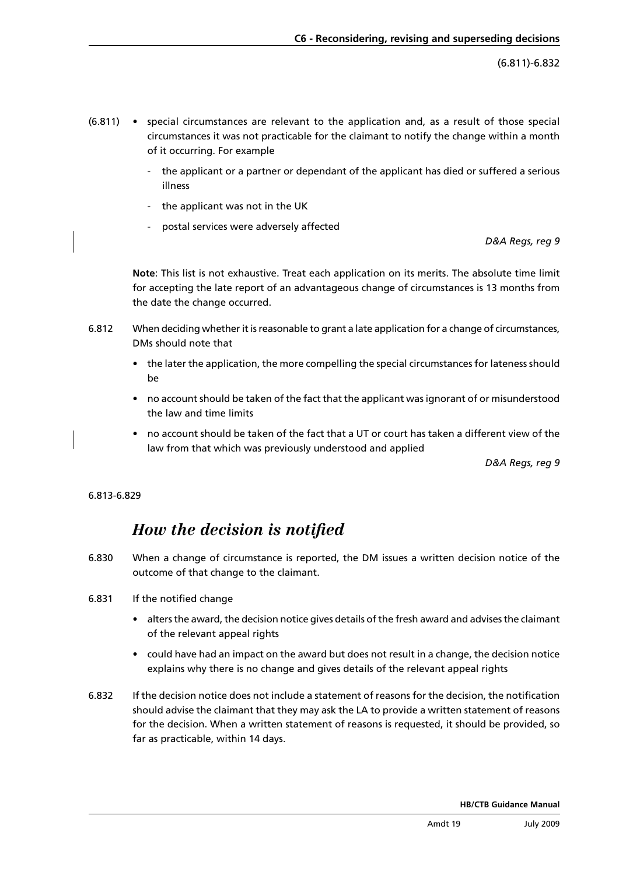(6.811)-6.832

- $(6.811)$  special circumstances are relevant to the application and, as a result of those special circumstances it was not practicable for the claimant to notify the change within a month of it occurring. For example
	- the applicant or a partner or dependant of the applicant has died or suffered a serious illness
	- the applicant was not in the UK
	- postal services were adversely affected

*D&A Regs, reg 9*

**Note**: This list is not exhaustive. Treat each application on its merits. The absolute time limit for accepting the late report of an advantageous change of circumstances is 13 months from the date the change occurred.

- 6.812 When deciding whether it is reasonable to grant a late application for a change of circumstances, DMs should note that
	- the later the application, the more compelling the special circumstances for lateness should be
	- no account should be taken of the fact that the applicant was ignorant of or misunderstood the law and time limits
	- • no account should be taken of the fact that a UT or court has taken a different view of the law from that which was previously understood and applied

*D&A Regs, reg 9*

#### 6.813-6.829

## *How the decision is notified*

- 6.830 When a change of circumstance is reported, the DM issues a written decision notice of the outcome of that change to the claimant.
- 6.831 If the notified change
	- alters the award, the decision notice gives details of the fresh award and advises the claimant of the relevant appeal rights
	- • could have had an impact on the award but does not result in a change, the decision notice explains why there is no change and gives details of the relevant appeal rights
- 6.832 If the decision notice does not include a statement of reasons for the decision, the notification should advise the claimant that they may ask the LA to provide a written statement of reasons for the decision. When a written statement of reasons is requested, it should be provided, so far as practicable, within 14 days.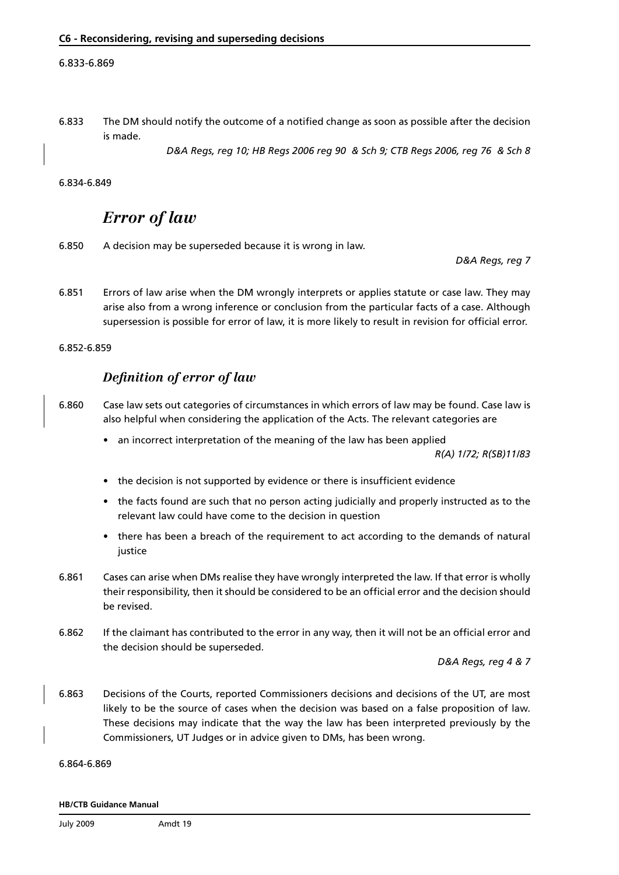#### 6.833-6.869

6.833 The DM should notify the outcome of a notified change as soon as possible after the decision is made.

*D&A Regs, reg 10; HB Regs 2006 reg 90 & Sch 9; CTB Regs 2006, reg 76 & Sch 8*

#### 6.834-6.849

## *Error of law*

6.850 A decision may be superseded because it is wrong in law.

*D&A Regs, reg 7*

6.851 Errors of law arise when the DM wrongly interprets or applies statute or case law. They may arise also from a wrong inference or conclusion from the particular facts of a case. Although supersession is possible for error of law, it is more likely to result in revision for official error.

6.852-6.859

### *Definition of error of law*

- 6.860 Case law sets out categories of circumstances in which errors of law may be found. Case law is also helpful when considering the application of the Acts. The relevant categories are
	- an incorrect interpretation of the meaning of the law has been applied

*R(A) 1/72; R(SB)11/83*

- the decision is not supported by evidence or there is insufficient evidence
- the facts found are such that no person acting judicially and properly instructed as to the relevant law could have come to the decision in question
- there has been a breach of the requirement to act according to the demands of natural iustice
- 6.861 Cases can arise when DMs realise they have wrongly interpreted the law. If that error is wholly their responsibility, then it should be considered to be an official error and the decision should be revised.
- 6.862 If the claimant has contributed to the error in any way, then it will not be an official error and the decision should be superseded.

*D&A Regs, reg 4 & 7*

6.863 Decisions of the Courts, reported Commissioners decisions and decisions of the UT, are most likely to be the source of cases when the decision was based on a false proposition of law. These decisions may indicate that the way the law has been interpreted previously by the Commissioners, UT Judges or in advice given to DMs, has been wrong.

6.864-6.869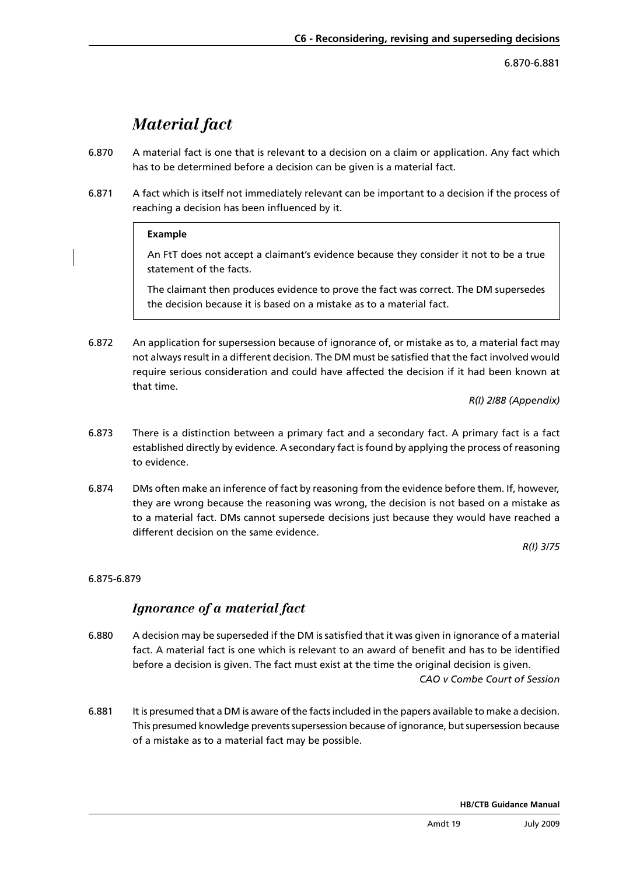6.870-6.881

## *Material fact*

- <span id="page-37-0"></span>6.870 A material fact is one that is relevant to a decision on a claim or application. Any fact which has to be determined before a decision can be given is a material fact.
- 6.871 A fact which is itself not immediately relevant can be important to a decision if the process of reaching a decision has been influenced by it.

#### **Example**

An FtT does not accept a claimant's evidence because they consider it not to be a true statement of the facts.

The claimant then produces evidence to prove the fact was correct. The DM supersedes the decision because it is based on a mistake as to a material fact.

6.872 An application for supersession because of ignorance of, or mistake as to, a material fact may not always result in a different decision. The DM must be satisfied that the fact involved would require serious consideration and could have affected the decision if it had been known at that time.

*R(I) 2/88 (Appendix)*

- 6.873 There is a distinction between a primary fact and a secondary fact. A primary fact is a fact established directly by evidence. A secondary fact is found by applying the process of reasoning to evidence.
- 6.874 DMs often make an inference of fact by reasoning from the evidence before them. If, however, they are wrong because the reasoning was wrong, the decision is not based on a mistake as to a material fact. DMs cannot supersede decisions just because they would have reached a different decision on the same evidence.

*R(I) 3/75*

### 6.875-6.879

## *Ignorance of a material fact*

6.880 A decision may be superseded if the DM is satisfied that it was given in ignorance of a material fact. A material fact is one which is relevant to an award of benefit and has to be identified before a decision is given. The fact must exist at the time the original decision is given.

*CAO v Combe Court of Session*

6.881 It is presumed that a DM is aware of the facts included in the papers available to make a decision. This presumed knowledge prevents supersession because of ignorance, but supersession because of a mistake as to a material fact may be possible.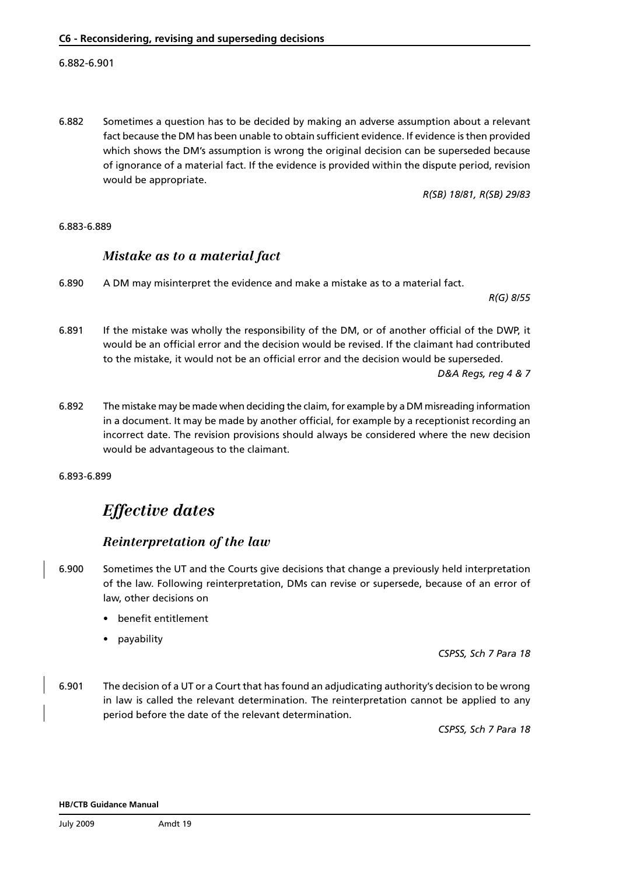6.882 Sometimes a question has to be decided by making an adverse assumption about a relevant fact because the DM has been unable to obtain sufficient evidence. If evidence is then provided which shows the DM's assumption is wrong the original decision can be superseded because of ignorance of a material fact. If the evidence is provided within the dispute period, revision would be appropriate.

*R(SB) 18/81, R(SB) 29/83*

#### 6.883-6.889

#### *Mistake as to a material fact*

6.890 A DM may misinterpret the evidence and make a mistake as to a material fact.

*R(G) 8/55* 

- 6.891 If the mistake was wholly the responsibility of the DM, or of another official of the DWP, it would be an official error and the decision would be revised. If the claimant had contributed to the mistake, it would not be an official error and the decision would be superseded. *D&A Regs, reg 4 & 7*
- 6.892 The mistake may be made when deciding the claim, for example by a DM misreading information in a document. It may be made by another official, for example by a receptionist recording an incorrect date. The revision provisions should always be considered where the new decision would be advantageous to the claimant.

6.893-6.899

## *Effective dates*

### *Reinterpretation of the law*

- 6.900 Sometimes the UT and the Courts give decisions that change a previously held interpretation of the law. Following reinterpretation, DMs can revise or supersede, because of an error of law, other decisions on
	- benefit entitlement
	- payability

*CSPSS, Sch 7 Para 18*

6.901 The decision of a UT or a Court that has found an adjudicating authority's decision to be wrong in law is called the relevant determination. The reinterpretation cannot be applied to any period before the date of the relevant determination.

*CSPSS, Sch 7 Para 18*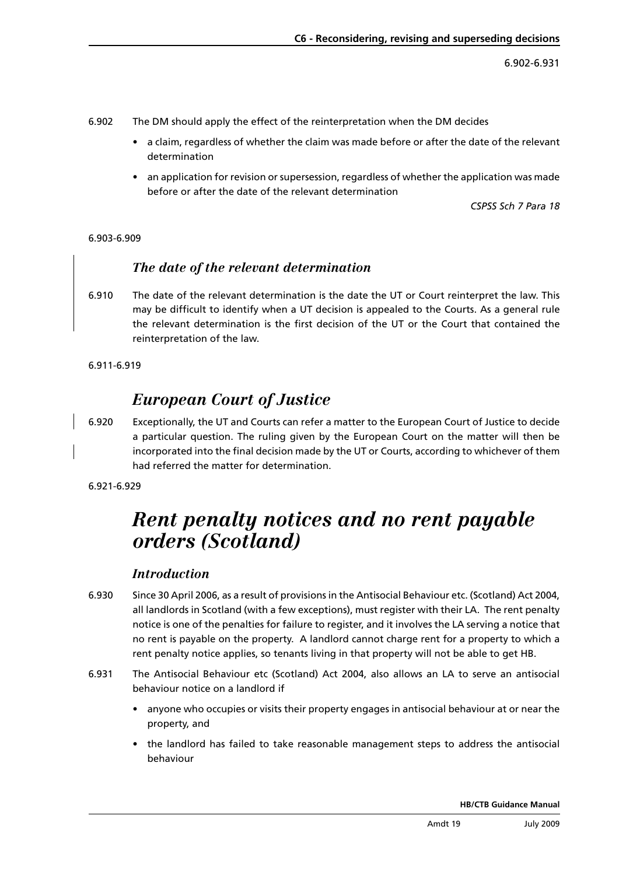6.902-6.931

- 6.902 The DM should apply the effect of the reinterpretation when the DM decides
	- • a claim, regardless of whether the claim was made before or after the date of the relevant determination
	- an application for revision or supersession, regardless of whether the application was made before or after the date of the relevant determination

*CSPSS Sch 7 Para 18*

#### 6.903-6.909

## *The date of the relevant determination*

6.910 The date of the relevant determination is the date the UT or Court reinterpret the law. This may be difficult to identify when a UT decision is appealed to the Courts. As a general rule the relevant determination is the first decision of the UT or the Court that contained the reinterpretation of the law.

6.911-6.919

## *European Court of Justice*

6.920 Exceptionally, the UT and Courts can refer a matter to the European Court of Justice to decide a particular question. The ruling given by the European Court on the matter will then be incorporated into the final decision made by the UT or Courts, according to whichever of them had referred the matter for determination.

6.921-6.929

# *Rent penalty notices and no rent payable orders (Scotland)*

## *Introduction*

- 6.930 Since 30 April 2006, as a result of provisions in the Antisocial Behaviour etc. (Scotland) Act 2004, all landlords in Scotland (with a few exceptions), must register with their LA. The rent penalty notice is one of the penalties for failure to register, and it involves the LA serving a notice that no rent is payable on the property. A landlord cannot charge rent for a property to which a rent penalty notice applies, so tenants living in that property will not be able to get HB.
- 6.931 The Antisocial Behaviour etc (Scotland) Act 2004, also allows an LA to serve an antisocial behaviour notice on a landlord if
	- anyone who occupies or visits their property engages in antisocial behaviour at or near the property, and
	- the landlord has failed to take reasonable management steps to address the antisocial behaviour